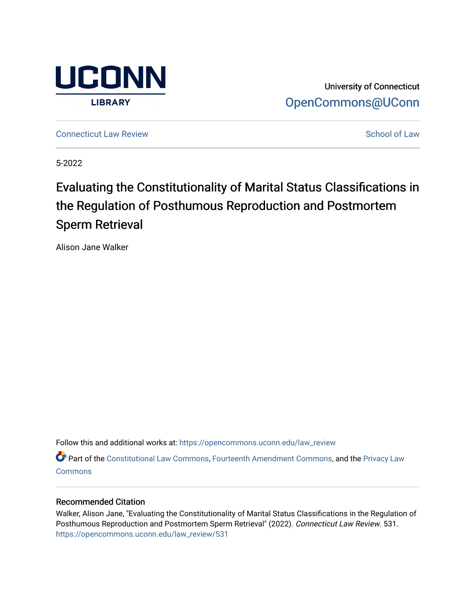

University of Connecticut [OpenCommons@UConn](https://opencommons.uconn.edu/) 

**[Connecticut Law Review](https://opencommons.uconn.edu/law_review) [School of Law](https://opencommons.uconn.edu/sol) Review School of Law School of Law School of Law School of Law School of Law School of Law School of Law School of Law School of Law School of Law School of Law School of Law School of** 

5-2022

# Evaluating the Constitutionality of Marital Status Classifications in the Regulation of Posthumous Reproduction and Postmortem Sperm Retrieval

Alison Jane Walker

Follow this and additional works at: [https://opencommons.uconn.edu/law\\_review](https://opencommons.uconn.edu/law_review?utm_source=opencommons.uconn.edu%2Flaw_review%2F531&utm_medium=PDF&utm_campaign=PDFCoverPages)

Part of the [Constitutional Law Commons,](https://network.bepress.com/hgg/discipline/589?utm_source=opencommons.uconn.edu%2Flaw_review%2F531&utm_medium=PDF&utm_campaign=PDFCoverPages) [Fourteenth Amendment Commons](https://network.bepress.com/hgg/discipline/1116?utm_source=opencommons.uconn.edu%2Flaw_review%2F531&utm_medium=PDF&utm_campaign=PDFCoverPages), and the [Privacy Law](https://network.bepress.com/hgg/discipline/1234?utm_source=opencommons.uconn.edu%2Flaw_review%2F531&utm_medium=PDF&utm_campaign=PDFCoverPages) **[Commons](https://network.bepress.com/hgg/discipline/1234?utm_source=opencommons.uconn.edu%2Flaw_review%2F531&utm_medium=PDF&utm_campaign=PDFCoverPages)** 

## Recommended Citation

Walker, Alison Jane, "Evaluating the Constitutionality of Marital Status Classifications in the Regulation of Posthumous Reproduction and Postmortem Sperm Retrieval" (2022). Connecticut Law Review. 531. [https://opencommons.uconn.edu/law\\_review/531](https://opencommons.uconn.edu/law_review/531?utm_source=opencommons.uconn.edu%2Flaw_review%2F531&utm_medium=PDF&utm_campaign=PDFCoverPages)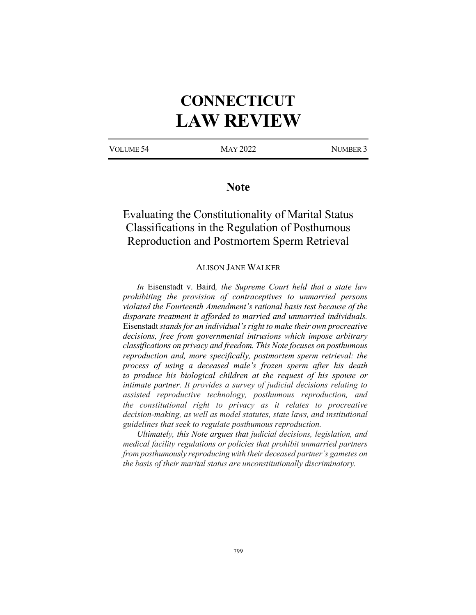# **CONNECTICUT LAW REVIEW**

VOLUME 54 MAY 2022 NUMBER 3

## **Note**

## Evaluating the Constitutionality of Marital Status Classifications in the Regulation of Posthumous Reproduction and Postmortem Sperm Retrieval

## ALISON JANE WALKER

*In* Eisenstadt v. Baird*, the Supreme Court held that a state law prohibiting the provision of contraceptives to unmarried persons violated the Fourteenth Amendment's rational basis test because of the disparate treatment it afforded to married and unmarried individuals.*  Eisenstadt *stands for an individual's right to make their own procreative decisions, free from governmental intrusions which impose arbitrary classifications on privacy and freedom. This Note focuses on posthumous reproduction and, more specifically, postmortem sperm retrieval: the process of using a deceased male's frozen sperm after his death to produce his biological children at the request of his spouse or intimate partner. It provides a survey of judicial decisions relating to assisted reproductive technology, posthumous reproduction, and the constitutional right to privacy as it relates to procreative decision-making, as well as model statutes, state laws, and institutional guidelines that seek to regulate posthumous reproduction.* 

*Ultimately, this Note argues that judicial decisions, legislation, and medical facility regulations or policies that prohibit unmarried partners from posthumously reproducing with their deceased partner's gametes on the basis of their marital status are unconstitutionally discriminatory.*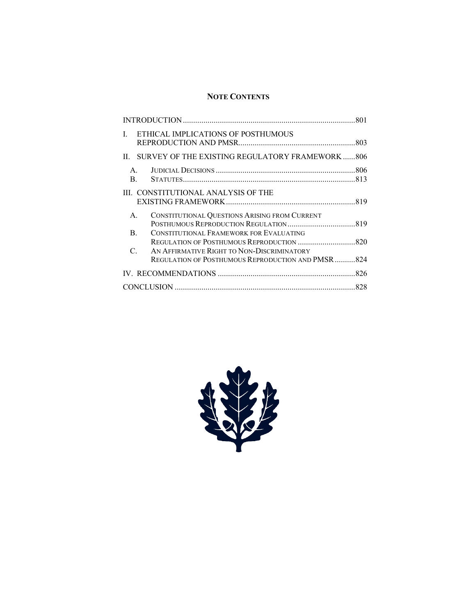## **NOTE CONTENTS**

| $\mathbf{L}$                   | ETHICAL IMPLICATIONS OF POSTHUMOUS                                                              |  |
|--------------------------------|-------------------------------------------------------------------------------------------------|--|
| $\mathbf{H}$                   | SURVEY OF THE EXISTING REGULATORY FRAMEWORK 806                                                 |  |
| $A_{\cdot}$<br>B.              |                                                                                                 |  |
|                                | III. CONSTITUTIONAL ANALYSIS OF THE                                                             |  |
| $\mathsf{A}$<br>$\mathbf{B}$ . | CONSTITUTIONAL QUESTIONS ARISING FROM CURRENT<br><b>CONSTITUTIONAL FRAMEWORK FOR EVALUATING</b> |  |
| $\mathcal{C}$ .                | AN AFFIRMATIVE RIGHT TO NON-DISCRIMINATORY<br>REGULATION OF POSTHUMOUS REPRODUCTION AND PMSR824 |  |
|                                |                                                                                                 |  |
|                                |                                                                                                 |  |
|                                |                                                                                                 |  |

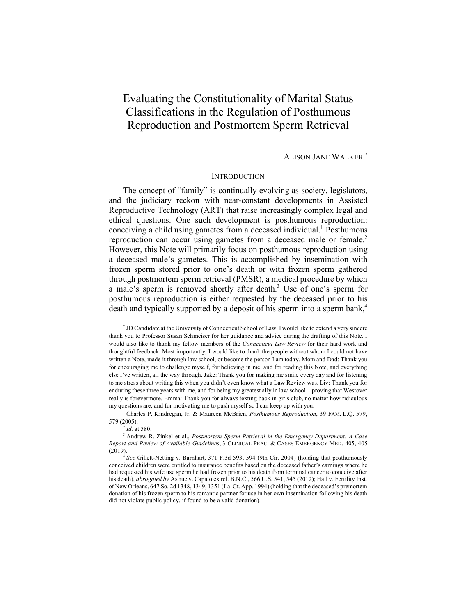## Evaluating the Constitutionality of Marital Status Classifications in the Regulation of Posthumous Reproduction and Postmortem Sperm Retrieval

## ALISON JANE WALKER \*

### **INTRODUCTION**

The concept of "family" is continually evolving as society, legislators, and the judiciary reckon with near-constant developments in Assisted Reproductive Technology (ART) that raise increasingly complex legal and ethical questions. One such development is posthumous reproduction: conceiving a child using gametes from a deceased individual.1 Posthumous reproduction can occur using gametes from a deceased male or female.<sup>2</sup> However, this Note will primarily focus on posthumous reproduction using a deceased male's gametes. This is accomplished by insemination with frozen sperm stored prior to one's death or with frozen sperm gathered through postmortem sperm retrieval (PMSR), a medical procedure by which a male's sperm is removed shortly after death.<sup>3</sup> Use of one's sperm for posthumous reproduction is either requested by the deceased prior to his death and typically supported by a deposit of his sperm into a sperm bank,<sup>4</sup>

 <sup>\*</sup> JD Candidate at the University of Connecticut School of Law. I would like to extend a very sincere thank you to Professor Susan Schmeiser for her guidance and advice during the drafting of this Note. I would also like to thank my fellow members of the *Connecticut Law Review* for their hard work and thoughtful feedback. Most importantly, I would like to thank the people without whom I could not have written a Note, made it through law school, or become the person I am today. Mom and Dad: Thank you for encouraging me to challenge myself, for believing in me, and for reading this Note, and everything else I've written, all the way through. Jake: Thank you for making me smile every day and for listening to me stress about writing this when you didn't even know what a Law Review was. Liv: Thank you for enduring these three years with me, and for being my greatest ally in law school—proving that Westover really is forevermore. Emma: Thank you for always texting back in girls club, no matter how ridiculous my questions are, and for motivating me to push myself so I can keep up with you.

<sup>1</sup> Charles P. Kindregan, Jr. & Maureen McBrien, *Posthumous Reproduction*, 39 FAM. L.Q. 579, 579 (2005). 2 *Id.* at 580. 3 Andrew R. Zinkel et al., *Postmortem Sperm Retrieval in the Emergency Department: A Case* 

*Report and Review of Available Guidelines*, 3 CLINICAL PRAC. & CASES EMERGENCY MED. 405, 405

<sup>&</sup>lt;sup>4</sup> See Gillett-Netting v. Barnhart, 371 F.3d 593, 594 (9th Cir. 2004) (holding that posthumously conceived children were entitled to insurance benefits based on the deceased father's earnings where he had requested his wife use sperm he had frozen prior to his death from terminal cancer to conceive after his death), *abrogated by* Astrue v. Capato ex rel. B.N.C., 566 U.S. 541, 545 (2012); Hall v. Fertility Inst. of New Orleans, 647 So. 2d 1348, 1349, 1351 (La. Ct. App. 1994) (holding that the deceased's premortem donation of his frozen sperm to his romantic partner for use in her own insemination following his death did not violate public policy, if found to be a valid donation).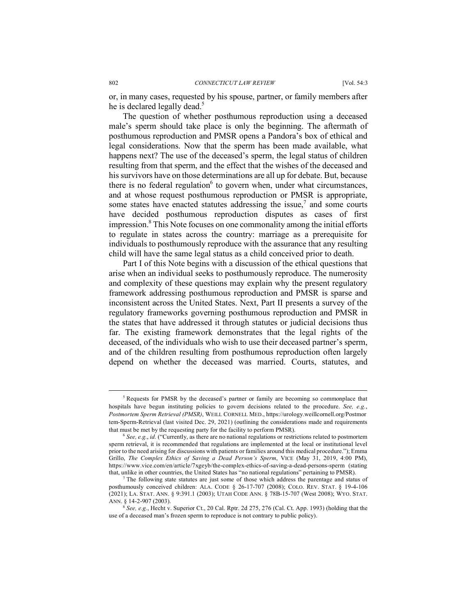or, in many cases, requested by his spouse, partner, or family members after he is declared legally dead.<sup>5</sup>

The question of whether posthumous reproduction using a deceased male's sperm should take place is only the beginning. The aftermath of posthumous reproduction and PMSR opens a Pandora's box of ethical and legal considerations. Now that the sperm has been made available, what happens next? The use of the deceased's sperm, the legal status of children resulting from that sperm, and the effect that the wishes of the deceased and his survivors have on those determinations are all up for debate. But, because there is no federal regulation $6$  to govern when, under what circumstances, and at whose request posthumous reproduction or PMSR is appropriate, some states have enacted statutes addressing the issue, $7$  and some courts have decided posthumous reproduction disputes as cases of first impression.<sup>8</sup> This Note focuses on one commonality among the initial efforts to regulate in states across the country: marriage as a prerequisite for individuals to posthumously reproduce with the assurance that any resulting child will have the same legal status as a child conceived prior to death.

Part I of this Note begins with a discussion of the ethical questions that arise when an individual seeks to posthumously reproduce. The numerosity and complexity of these questions may explain why the present regulatory framework addressing posthumous reproduction and PMSR is sparse and inconsistent across the United States. Next, Part II presents a survey of the regulatory frameworks governing posthumous reproduction and PMSR in the states that have addressed it through statutes or judicial decisions thus far. The existing framework demonstrates that the legal rights of the deceased, of the individuals who wish to use their deceased partner's sperm, and of the children resulting from posthumous reproduction often largely depend on whether the deceased was married. Courts, statutes, and

<sup>&</sup>lt;sup>5</sup> Requests for PMSR by the deceased's partner or family are becoming so commonplace that hospitals have begun instituting policies to govern decisions related to the procedure. *See, e.g.*, *Postmortem Sperm Retrieval (PMSR)*, WEILL CORNELL MED., https://urology.weillcornell.org/Postmor tem-Sperm-Retrieval (last visited Dec. 29, 2021) (outlining the considerations made and requirements that must be met by the requesting party for the facility to perform PMSR). 6 *See, e.g.*, *id.* ("Currently, as there are no national regulations or restrictions related to postmortem

sperm retrieval, it is recommended that regulations are implemented at the local or institutional level prior to the need arising for discussions with patients or families around this medical procedure."); Emma Grillo, *The Complex Ethics of Saving a Dead Person's Sperm*, VICE (May 31, 2019, 4:00 PM), https://www.vice.com/en/article/7xgeyb/the-complex-ethics-of-saving-a-dead-persons-sperm (stating that, unlike in other countries, the United States has "no national regulations" pertaining to PMSR).

<sup>&</sup>lt;sup>7</sup> The following state statutes are just some of those which address the parentage and status of posthumously conceived children: ALA. CODE § 26-17-707 (2008); COLO. REV. STAT. § 19-4-106 (2021); LA. STAT. ANN. § 9:391.1 (2003); UTAH CODE ANN. § 78B-15-707 (West 2008); WYO. STAT.

 $8$  See, e.g., Hecht v. Superior Ct., 20 Cal. Rptr. 2d 275, 276 (Cal. Ct. App. 1993) (holding that the use of a deceased man's frozen sperm to reproduce is not contrary to public policy).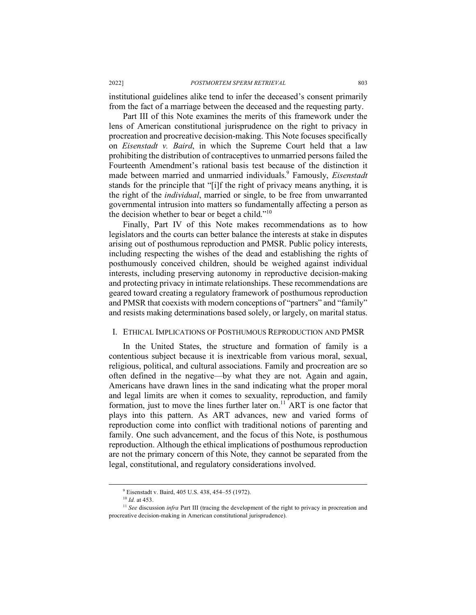institutional guidelines alike tend to infer the deceased's consent primarily from the fact of a marriage between the deceased and the requesting party.

Part III of this Note examines the merits of this framework under the lens of American constitutional jurisprudence on the right to privacy in procreation and procreative decision-making. This Note focuses specifically on *Eisenstadt v. Baird*, in which the Supreme Court held that a law prohibiting the distribution of contraceptives to unmarried persons failed the Fourteenth Amendment's rational basis test because of the distinction it made between married and unmarried individuals.9 Famously, *Eisenstadt*  stands for the principle that "[i]f the right of privacy means anything, it is the right of the *individual*, married or single, to be free from unwarranted governmental intrusion into matters so fundamentally affecting a person as the decision whether to bear or beget a child."10

Finally, Part IV of this Note makes recommendations as to how legislators and the courts can better balance the interests at stake in disputes arising out of posthumous reproduction and PMSR. Public policy interests, including respecting the wishes of the dead and establishing the rights of posthumously conceived children, should be weighed against individual interests, including preserving autonomy in reproductive decision-making and protecting privacy in intimate relationships. These recommendations are geared toward creating a regulatory framework of posthumous reproduction and PMSR that coexists with modern conceptions of "partners" and "family" and resists making determinations based solely, or largely, on marital status.

## I. ETHICAL IMPLICATIONS OF POSTHUMOUS REPRODUCTION AND PMSR

In the United States, the structure and formation of family is a contentious subject because it is inextricable from various moral, sexual, religious, political, and cultural associations. Family and procreation are so often defined in the negative—by what they are not. Again and again, Americans have drawn lines in the sand indicating what the proper moral and legal limits are when it comes to sexuality, reproduction, and family formation, just to move the lines further later on.<sup>11</sup> ART is one factor that plays into this pattern. As ART advances, new and varied forms of reproduction come into conflict with traditional notions of parenting and family. One such advancement, and the focus of this Note, is posthumous reproduction. Although the ethical implications of posthumous reproduction are not the primary concern of this Note, they cannot be separated from the legal, constitutional, and regulatory considerations involved.

<sup>&</sup>lt;sup>9</sup> Eisenstadt v. Baird, 405 U.S. 438, 454–55 (1972).<br><sup>10</sup> *Id.* at 453.

<sup>&</sup>lt;sup>11</sup> See discussion *infra* Part III (tracing the development of the right to privacy in procreation and procreative decision-making in American constitutional jurisprudence).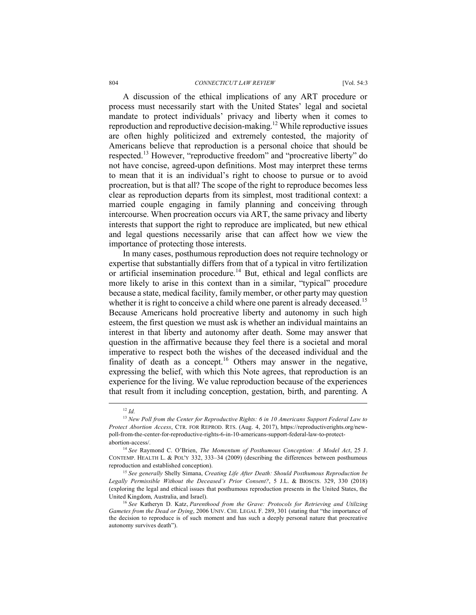A discussion of the ethical implications of any ART procedure or process must necessarily start with the United States' legal and societal mandate to protect individuals' privacy and liberty when it comes to reproduction and reproductive decision-making.12 While reproductive issues are often highly politicized and extremely contested, the majority of Americans believe that reproduction is a personal choice that should be respected.<sup>13</sup> However, "reproductive freedom" and "procreative liberty" do not have concise, agreed-upon definitions. Most may interpret these terms to mean that it is an individual's right to choose to pursue or to avoid procreation, but is that all? The scope of the right to reproduce becomes less clear as reproduction departs from its simplest, most traditional context: a married couple engaging in family planning and conceiving through intercourse. When procreation occurs via ART, the same privacy and liberty interests that support the right to reproduce are implicated, but new ethical and legal questions necessarily arise that can affect how we view the importance of protecting those interests.

In many cases, posthumous reproduction does not require technology or expertise that substantially differs from that of a typical in vitro fertilization or artificial insemination procedure.<sup>14</sup> But, ethical and legal conflicts are more likely to arise in this context than in a similar, "typical" procedure because a state, medical facility, family member, or other party may question whether it is right to conceive a child where one parent is already deceased.<sup>15</sup> Because Americans hold procreative liberty and autonomy in such high esteem, the first question we must ask is whether an individual maintains an interest in that liberty and autonomy after death. Some may answer that question in the affirmative because they feel there is a societal and moral imperative to respect both the wishes of the deceased individual and the finality of death as a concept.<sup>16</sup> Others may answer in the negative, expressing the belief, with which this Note agrees, that reproduction is an experience for the living. We value reproduction because of the experiences that result from it including conception, gestation, birth, and parenting. A

 <sup>12</sup> *Id.*

<sup>13</sup> *New Poll from the Center for Reproductive Rights: 6 in 10 Americans Support Federal Law to Protect Abortion Access*, CTR. FOR REPROD. RTS. (Aug. 4, 2017), https://reproductiverights.org/newpoll-from-the-center-for-reproductive-rights-6-in-10-americans-support-federal-law-to-protectabortion-access/.

<sup>14</sup> *See* Raymond C. O'Brien, *The Momentum of Posthumous Conception: A Model Act*, 25 J. CONTEMP. HEALTH L. & POL'Y 332, 333–34 (2009) (describing the differences between posthumous reproduction and established conception).

<sup>15</sup> *See generally* Shelly Simana, *Creating Life After Death: Should Posthumous Reproduction be Legally Permissible Without the Deceased's Prior Consent?*, 5 J.L. & BIOSCIS. 329, 330 (2018) (exploring the legal and ethical issues that posthumous reproduction presents in the United States, the United Kingdom, Australia, and Israel).

<sup>16</sup> *See* Katheryn D. Katz, *Parenthood from the Grave: Protocols for Retrieving and Utilizing Gametes from the Dead or Dying*, 2006 UNIV. CHI. LEGAL F. 289, 301 (stating that "the importance of the decision to reproduce is of such moment and has such a deeply personal nature that procreative autonomy survives death").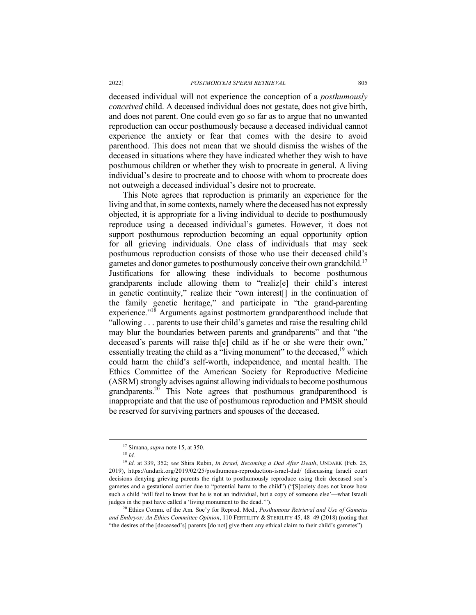deceased individual will not experience the conception of a *posthumously conceived* child. A deceased individual does not gestate, does not give birth, and does not parent. One could even go so far as to argue that no unwanted reproduction can occur posthumously because a deceased individual cannot experience the anxiety or fear that comes with the desire to avoid parenthood. This does not mean that we should dismiss the wishes of the deceased in situations where they have indicated whether they wish to have posthumous children or whether they wish to procreate in general. A living individual's desire to procreate and to choose with whom to procreate does not outweigh a deceased individual's desire not to procreate.

This Note agrees that reproduction is primarily an experience for the living and that, in some contexts, namely where the deceased has not expressly objected, it is appropriate for a living individual to decide to posthumously reproduce using a deceased individual's gametes. However, it does not support posthumous reproduction becoming an equal opportunity option for all grieving individuals. One class of individuals that may seek posthumous reproduction consists of those who use their deceased child's gametes and donor gametes to posthumously conceive their own grandchild.<sup>17</sup> Justifications for allowing these individuals to become posthumous grandparents include allowing them to "realiz[e] their child's interest in genetic continuity," realize their "own interest[] in the continuation of the family genetic heritage," and participate in "the grand-parenting experience."<sup>18</sup> Arguments against postmortem grandparenthood include that "allowing . . . parents to use their child's gametes and raise the resulting child may blur the boundaries between parents and grandparents" and that "the deceased's parents will raise th[e] child as if he or she were their own," essentially treating the child as a "living monument" to the deceased,<sup>19</sup> which could harm the child's self-worth, independence, and mental health. The Ethics Committee of the American Society for Reproductive Medicine (ASRM) strongly advises against allowing individuals to become posthumous grandparents.20 This Note agrees that posthumous grandparenthood is inappropriate and that the use of posthumous reproduction and PMSR should be reserved for surviving partners and spouses of the deceased.

 <sup>17</sup> Simana, *supra* note 15, at 350.

<sup>18</sup> *Id.*

<sup>19</sup> *Id.* at 339, 352; *see* Shira Rubin, *In Israel, Becoming a Dad After Death*, UNDARK (Feb. 25, 2019), https://undark.org/2019/02/25/posthumous-reproduction-israel-dad/ (discussing Israeli court decisions denying grieving parents the right to posthumously reproduce using their deceased son's gametes and a gestational carrier due to "potential harm to the child") ("[S]ociety does not know how such a child 'will feel to know that he is not an individual, but a copy of someone else'—what Israeli judges in the past have called a 'living monument to the dead.'").

<sup>20</sup> Ethics Comm. of the Am. Soc'y for Reprod. Med., *Posthumous Retrieval and Use of Gametes and Embryos: An Ethics Committee Opinion*, 110 FERTILITY & STERILITY 45, 48–49 (2018) (noting that "the desires of the [deceased's] parents [do not] give them any ethical claim to their child's gametes").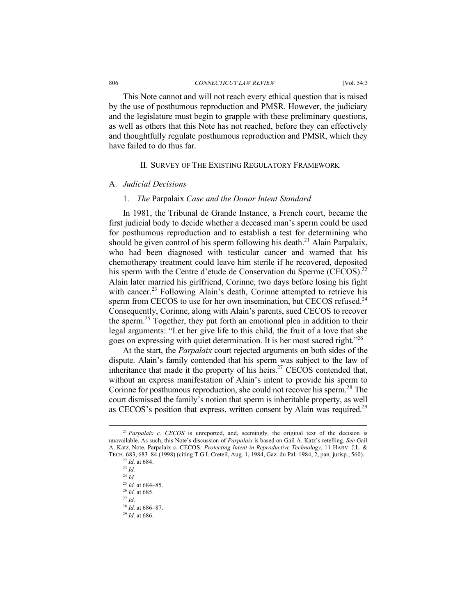This Note cannot and will not reach every ethical question that is raised by the use of posthumous reproduction and PMSR. However, the judiciary and the legislature must begin to grapple with these preliminary questions, as well as others that this Note has not reached, before they can effectively and thoughtfully regulate posthumous reproduction and PMSR, which they have failed to do thus far.

## II. SURVEY OF THE EXISTING REGULATORY FRAMEWORK

## A. *Judicial Decisions*

## 1. *The* Parpalaix *Case and the Donor Intent Standard*

In 1981, the Tribunal de Grande Instance, a French court, became the first judicial body to decide whether a deceased man's sperm could be used for posthumous reproduction and to establish a test for determining who should be given control of his sperm following his death.<sup>21</sup> Alain Parpalaix, who had been diagnosed with testicular cancer and warned that his chemotherapy treatment could leave him sterile if he recovered, deposited his sperm with the Centre d'etude de Conservation du Sperme (CECOS).<sup>22</sup> Alain later married his girlfriend, Corinne, two days before losing his fight with cancer.<sup>23</sup> Following Alain's death, Corinne attempted to retrieve his sperm from CECOS to use for her own insemination, but CECOS refused.<sup>24</sup> Consequently, Corinne, along with Alain's parents, sued CECOS to recover the sperm.25 Together, they put forth an emotional plea in addition to their legal arguments: "Let her give life to this child, the fruit of a love that she goes on expressing with quiet determination. It is her most sacred right."26

At the start, the *Parpalaix* court rejected arguments on both sides of the dispute. Alain's family contended that his sperm was subject to the law of inheritance that made it the property of his heirs.<sup>27</sup> CECOS contended that, without an express manifestation of Alain's intent to provide his sperm to Corinne for posthumous reproduction, she could not recover his sperm<sup>28</sup>. The court dismissed the family's notion that sperm is inheritable property, as well as CECOS's position that express, written consent by Alain was required.<sup>29</sup>

<sup>&</sup>lt;sup>21</sup> *Parpalaix c. CECOS* is unreported, and, seemingly, the original text of the decision is unavailable. As such, this Note's discussion of *Parpalaix* is based on Gail A. Katz's retelling. *See* Gail A. Katz, Note, Parpalaix c. CECOS*: Protecting Intent in Reproductive Technology*, 11 HARV. J.L. & TECH. 683, 683–84 (1998) (citing T.G.I. Creteil, Aug. 1, 1984, Gaz. du Pal. 1984, 2, pan. jurisp., 560). 22 *Id.* at 684.

<sup>23</sup> *Id.*  $^{24}$  *Id.*<br> $^{25}$  *Id.* at 684–85.

<sup>&</sup>lt;sup>26</sup> *Id.* at 685.

<sup>27</sup> *Id.*

<sup>28</sup> *Id.* at 686–87.

<sup>29</sup> *Id.* at 686.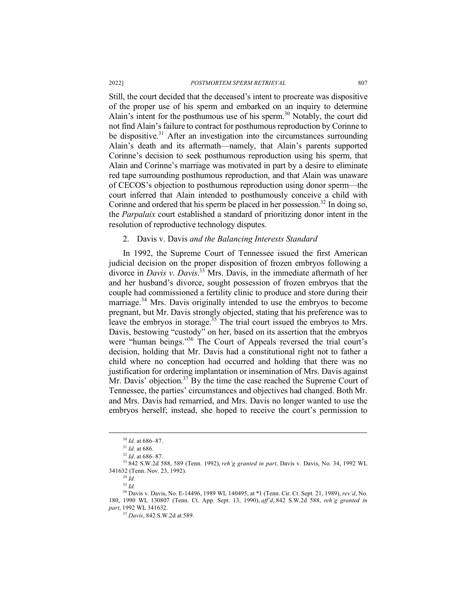Still, the court decided that the deceased's intent to procreate was dispositive of the proper use of his sperm and embarked on an inquiry to determine Alain's intent for the posthumous use of his sperm.<sup>30</sup> Notably, the court did not find Alain's failure to contract for posthumous reproduction by Corinne to be dispositive. $31$  After an investigation into the circumstances surrounding Alain's death and its aftermath—namely, that Alain's parents supported Corinne's decision to seek posthumous reproduction using his sperm, that Alain and Corinne's marriage was motivated in part by a desire to eliminate red tape surrounding posthumous reproduction, and that Alain was unaware of CECOS's objection to posthumous reproduction using donor sperm—the court inferred that Alain intended to posthumously conceive a child with Corinne and ordered that his sperm be placed in her possession.<sup>32</sup> In doing so, the *Parpalaix* court established a standard of prioritizing donor intent in the resolution of reproductive technology disputes.

## 2. Davis v. Davis *and the Balancing Interests Standard*

In 1992, the Supreme Court of Tennessee issued the first American judicial decision on the proper disposition of frozen embryos following a divorce in *Davis v. Davis*. <sup>33</sup> Mrs. Davis, in the immediate aftermath of her and her husband's divorce, sought possession of frozen embryos that the couple had commissioned a fertility clinic to produce and store during their marriage.<sup>34</sup> Mrs. Davis originally intended to use the embryos to become pregnant, but Mr. Davis strongly objected, stating that his preference was to leave the embryos in storage.<sup>35</sup> The trial court issued the embryos to Mrs. Davis, bestowing "custody" on her, based on its assertion that the embryos were "human beings."<sup>36</sup> The Court of Appeals reversed the trial court's decision, holding that Mr. Davis had a constitutional right not to father a child where no conception had occurred and holding that there was no justification for ordering implantation or insemination of Mrs. Davis against Mr. Davis' objection.<sup>37</sup> By the time the case reached the Supreme Court of Tennessee, the parties' circumstances and objectives had changed. Both Mr. and Mrs. Davis had remarried, and Mrs. Davis no longer wanted to use the embryos herself; instead, she hoped to receive the court's permission to

 <sup>30</sup> *Id*. at 686–87.

<sup>31</sup> *Id.* at 686.

<sup>32</sup> *Id*. at 686–87.

<sup>33</sup> 842 S.W.2d 588, 589 (Tenn. 1992), *reh'g granted in part*, Davis v. Davis, No. 34, 1992 WL 341632 (Tenn. Nov. 23, 1992).

<sup>34</sup> *Id.*

<sup>35</sup> *Id.*

<sup>36</sup> Davis v. Davis, No. E-14496, 1989 WL 140495, at \*1 (Tenn. Cir. Ct. Sept. 21, 1989), *rev'd*, No. 180, 1990 WL 130807 (Tenn. Ct. App. Sept. 13, 1990), *aff'd*, 842 S.W.2d 588, *reh'g granted in part*, 1992 WL 341632.

<sup>37</sup> *Davis*, 842 S.W.2d at 589.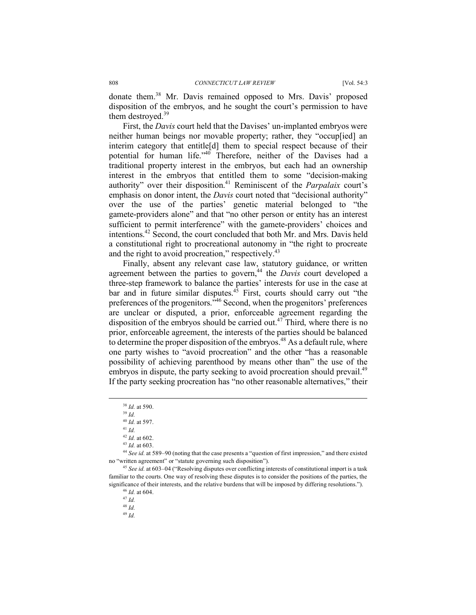donate them.<sup>38</sup> Mr. Davis remained opposed to Mrs. Davis' proposed disposition of the embryos, and he sought the court's permission to have them destroyed.<sup>39</sup>

First, the *Davis* court held that the Davises' un-implanted embryos were neither human beings nor movable property; rather, they "occup[ied] an interim category that entitle[d] them to special respect because of their potential for human life."40 Therefore, neither of the Davises had a traditional property interest in the embryos, but each had an ownership interest in the embryos that entitled them to some "decision-making authority" over their disposition.<sup>41</sup> Reminiscent of the *Parpalaix* court's emphasis on donor intent, the *Davis* court noted that "decisional authority" over the use of the parties' genetic material belonged to "the gamete-providers alone" and that "no other person or entity has an interest sufficient to permit interference" with the gamete-providers' choices and intentions.<sup>42</sup> Second, the court concluded that both  $\overline{Mr}$ , and Mrs. Davis held a constitutional right to procreational autonomy in "the right to procreate and the right to avoid procreation," respectively.<sup>43</sup>

Finally, absent any relevant case law, statutory guidance, or written agreement between the parties to govern,<sup>44</sup> the *Davis* court developed a three-step framework to balance the parties' interests for use in the case at bar and in future similar disputes.<sup>45</sup> First, courts should carry out "the preferences of the progenitors."46 Second, when the progenitors' preferences are unclear or disputed, a prior, enforceable agreement regarding the disposition of the embryos should be carried out.<sup>47</sup> Third, where there is no prior, enforceable agreement, the interests of the parties should be balanced to determine the proper disposition of the embryos.<sup>48</sup> As a default rule, where one party wishes to "avoid procreation" and the other "has a reasonable possibility of achieving parenthood by means other than" the use of the embryos in dispute, the party seeking to avoid procreation should prevail.<sup>49</sup> If the party seeking procreation has "no other reasonable alternatives," their

<sup>44</sup> *See id.* at 589–90 (noting that the case presents a "question of first impression," and there existed no "written agreement" or "statute governing such disposition"). 45 *See id.* at 603–04 ("Resolving disputes over conflicting interests of constitutional import is a task

familiar to the courts. One way of resolving these disputes is to consider the positions of the parties, the significance of their interests, and the relative burdens that will be imposed by differing resolutions.").

 <sup>38</sup> *Id.* at 590.

<sup>39</sup> *Id.*

<sup>40</sup> *Id.* at 597.

<sup>41</sup> *Id.*

<sup>42</sup> *Id.* at 602.

<sup>43</sup> *Id.* at 603.

<sup>46</sup> *Id.* at 604. 47 *Id.*

<sup>48</sup> *Id.*

<sup>49</sup> *Id.*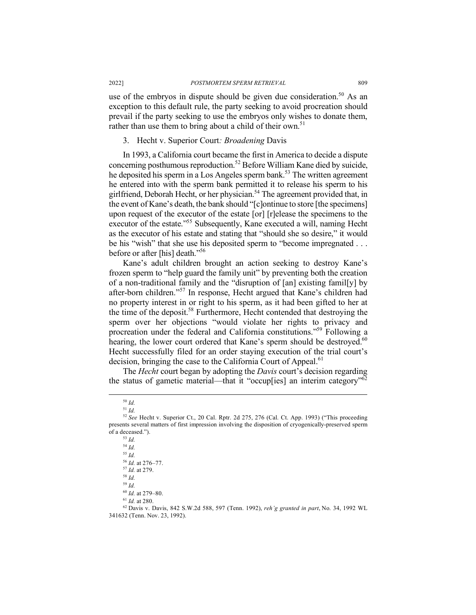use of the embryos in dispute should be given due consideration.<sup>50</sup> As an exception to this default rule, the party seeking to avoid procreation should prevail if the party seeking to use the embryos only wishes to donate them, rather than use them to bring about a child of their own.<sup>51</sup>

3. Hecht v. Superior Court*: Broadening* Davis

In 1993, a California court became the first in America to decide a dispute concerning posthumous reproduction.52 Before William Kane died by suicide, he deposited his sperm in a Los Angeles sperm bank.<sup>53</sup> The written agreement he entered into with the sperm bank permitted it to release his sperm to his girlfriend, Deborah Hecht, or her physician.54 The agreement provided that, in the event of Kane's death, the bank should "[c]ontinue to store [the specimens] upon request of the executor of the estate [or] [r]elease the specimens to the executor of the estate.<sup>"55</sup> Subsequently, Kane executed a will, naming Hecht as the executor of his estate and stating that "should she so desire," it would be his "wish" that she use his deposited sperm to "become impregnated . . . before or after [his] death."56

Kane's adult children brought an action seeking to destroy Kane's frozen sperm to "help guard the family unit" by preventing both the creation of a non-traditional family and the "disruption of [an] existing famil[y] by after-born children."<sup>57</sup> In response, Hecht argued that Kane's children had no property interest in or right to his sperm, as it had been gifted to her at the time of the deposit.58 Furthermore, Hecht contended that destroying the sperm over her objections "would violate her rights to privacy and procreation under the federal and California constitutions."59 Following a hearing, the lower court ordered that Kane's sperm should be destroyed.<sup>60</sup> Hecht successfully filed for an order staying execution of the trial court's decision, bringing the case to the California Court of Appeal.<sup>61</sup>

The *Hecht* court began by adopting the *Davis* court's decision regarding the status of gametic material—that it "occup[ies] an interim category" $\delta^2$ 

 <sup>50</sup> *Id.*

<sup>51</sup> *Id.*

<sup>52</sup> *See* Hecht v. Superior Ct., 20 Cal. Rptr. 2d 275, 276 (Cal. Ct. App. 1993) ("This proceeding presents several matters of first impression involving the disposition of cryogenically-preserved sperm of a deceased."). 53 *Id.*

<sup>54</sup> *Id.*

<sup>55</sup> *Id.*

<sup>56</sup> *Id.* at 276–77. <sup>57</sup> *Id.* at 279.

<sup>58</sup> *Id.*

<sup>59</sup> *Id.*

<sup>60</sup> *Id.* at 279–80.

<sup>61</sup> *Id.* at 280.

<sup>62</sup> Davis v. Davis, 842 S.W.2d 588, 597 (Tenn. 1992), *reh'g granted in part*, No. 34, 1992 WL 341632 (Tenn. Nov. 23, 1992).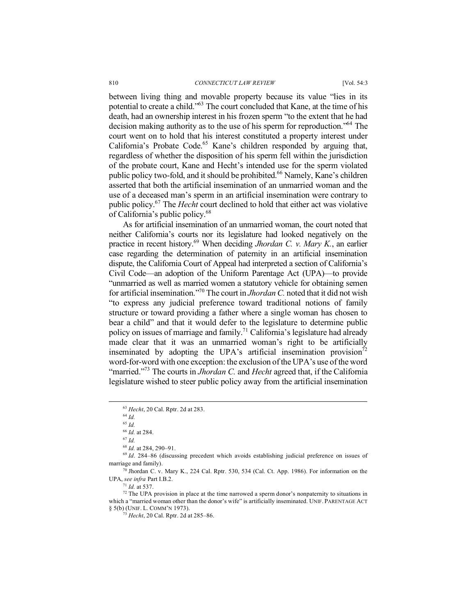between living thing and movable property because its value "lies in its potential to create a child."63 The court concluded that Kane, at the time of his death, had an ownership interest in his frozen sperm "to the extent that he had decision making authority as to the use of his sperm for reproduction."64 The court went on to hold that his interest constituted a property interest under California's Probate Code.<sup>65</sup> Kane's children responded by arguing that, regardless of whether the disposition of his sperm fell within the jurisdiction of the probate court, Kane and Hecht's intended use for the sperm violated public policy two-fold, and it should be prohibited.<sup>66</sup> Namely, Kane's children asserted that both the artificial insemination of an unmarried woman and the use of a deceased man's sperm in an artificial insemination were contrary to public policy.67 The *Hecht* court declined to hold that either act was violative of California's public policy.<sup>68</sup>

As for artificial insemination of an unmarried woman, the court noted that neither California's courts nor its legislature had looked negatively on the practice in recent history.69 When deciding *Jhordan C. v. Mary K.*, an earlier case regarding the determination of paternity in an artificial insemination dispute, the California Court of Appeal had interpreted a section of California's Civil Code—an adoption of the Uniform Parentage Act (UPA)—to provide "unmarried as well as married women a statutory vehicle for obtaining semen for artificial insemination."70 The court in *Jhordan C.* noted that it did not wish "to express any judicial preference toward traditional notions of family structure or toward providing a father where a single woman has chosen to bear a child" and that it would defer to the legislature to determine public policy on issues of marriage and family.<sup>71</sup> California's legislature had already made clear that it was an unmarried woman's right to be artificially inseminated by adopting the UPA's artificial insemination provision<sup> $72$ </sup> word-for-word with one exception: the exclusion of the UPA's use of the word "married."73 The courts in *Jhordan C.* and *Hecht* agreed that, if the California legislature wished to steer public policy away from the artificial insemination

 <sup>63</sup> *Hecht*, 20 Cal. Rptr. 2d at 283.

<sup>64</sup> *Id.*

<sup>65</sup> *Id.*

<sup>66</sup> *Id.* at 284.

 $^{67}$  *Id.*<br> $^{68}$  *Id.* at 284, 290–91.

<sup>&</sup>lt;sup>69</sup> *Id.* 284–86 (discussing precedent which avoids establishing judicial preference on issues of marriage and family).

<sup>&</sup>lt;sup>70</sup> Jhordan C. v. Mary K., 224 Cal. Rptr. 530, 534 (Cal. Ct. App. 1986). For information on the UPA, *see infra* Part I.B.2.

 $72$  The UPA provision in place at the time narrowed a sperm donor's nonpaternity to situations in which a "married woman other than the donor's wife" is artificially inseminated. UNIF. PARENTAGE ACT § 5(b) (UNIF. L. COMM'N 1973).

 $\frac{3}{3}$  *Hecht*, 20 Cal. Rptr. 2d at 285–86.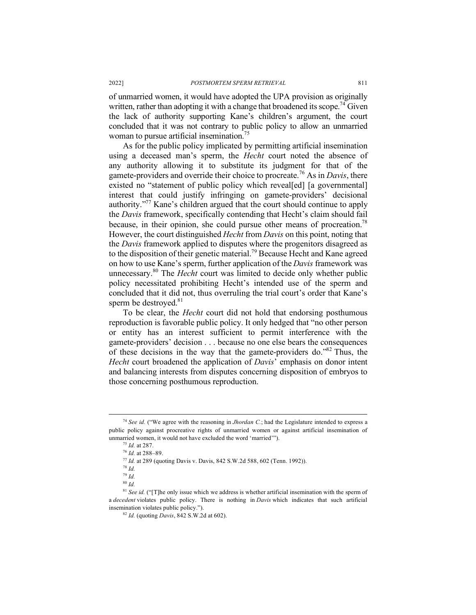of unmarried women, it would have adopted the UPA provision as originally written, rather than adopting it with a change that broadened its scope.<sup>74</sup> Given the lack of authority supporting Kane's children's argument, the court concluded that it was not contrary to public policy to allow an unmarried woman to pursue artificial insemination.<sup>75</sup>

As for the public policy implicated by permitting artificial insemination using a deceased man's sperm, the *Hecht* court noted the absence of any authority allowing it to substitute its judgment for that of the gamete-providers and override their choice to procreate.<sup>76</sup> As in *Davis*, there existed no "statement of public policy which reveal[ed] [a governmental] interest that could justify infringing on gamete-providers' decisional authority."<sup>77</sup> Kane's children argued that the court should continue to apply the *Davis* framework, specifically contending that Hecht's claim should fail because, in their opinion, she could pursue other means of procreation.<sup>78</sup> However, the court distinguished *Hecht* from *Davis* on this point, noting that the *Davis* framework applied to disputes where the progenitors disagreed as to the disposition of their genetic material.79 Because Hecht and Kane agreed on how to use Kane's sperm, further application of the *Davis* framework was unnecessary.<sup>80</sup> The *Hecht* court was limited to decide only whether public policy necessitated prohibiting Hecht's intended use of the sperm and concluded that it did not, thus overruling the trial court's order that Kane's sperm be destroyed.<sup>81</sup>

To be clear, the *Hecht* court did not hold that endorsing posthumous reproduction is favorable public policy. It only hedged that "no other person or entity has an interest sufficient to permit interference with the gamete-providers' decision . . . because no one else bears the consequences of these decisions in the way that the gamete-providers do."82 Thus, the *Hecht* court broadened the application of *Davis*' emphasis on donor intent and balancing interests from disputes concerning disposition of embryos to those concerning posthumous reproduction.

 <sup>74</sup> *See id.* ("We agree with the reasoning in *Jhordan C.*; had the Legislature intended to express a public policy against procreative rights of unmarried women or against artificial insemination of unmarried women, it would not have excluded the word 'married'").<br> $^{75}$  *Id.* at 287.

<sup>75</sup> *Id.* at 287. 76 *Id.* at 288–89.

<sup>77</sup> *Id.* at 289 (quoting Davis v. Davis, 842 S.W.2d 588, <sup>602</sup> (Tenn. 1992)). 78 *Id.*

<sup>79</sup> *Id.* 

<sup>80</sup> *Id.*

<sup>&</sup>lt;sup>81</sup> *See id.* ("[T]he only issue which we address is whether artificial insemination with the sperm of a *decedent* violates public policy. There is nothing in *Davis* which indicates that such artificial insemination violates public policy.").

<sup>82</sup> *Id.* (quoting *Davis*, 842 S.W.2d at 602).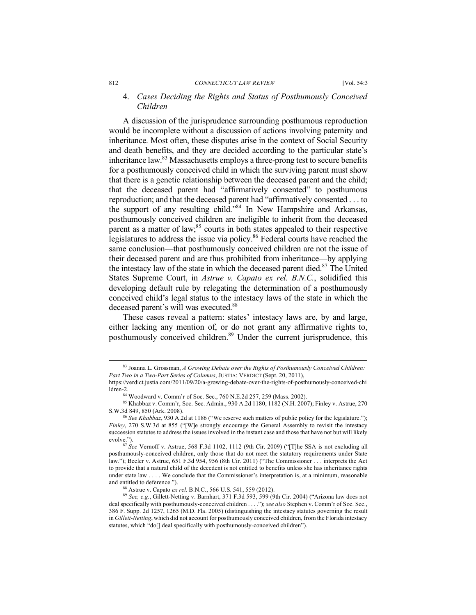#### 812 *CONNECTICUT LAW REVIEW* [Vol. 54:3

## 4. *Cases Deciding the Rights and Status of Posthumously Conceived Children*

A discussion of the jurisprudence surrounding posthumous reproduction would be incomplete without a discussion of actions involving paternity and inheritance. Most often, these disputes arise in the context of Social Security and death benefits, and they are decided according to the particular state's inheritance law.<sup>83</sup> Massachusetts employs a three-prong test to secure benefits for a posthumously conceived child in which the surviving parent must show that there is a genetic relationship between the deceased parent and the child; that the deceased parent had "affirmatively consented" to posthumous reproduction; and that the deceased parent had "affirmatively consented . . . to the support of any resulting child.<sup>384</sup> In New Hampshire and Arkansas, posthumously conceived children are ineligible to inherit from the deceased parent as a matter of law; $85$  courts in both states appealed to their respective legislatures to address the issue via policy.<sup>86</sup> Federal courts have reached the same conclusion—that posthumously conceived children are not the issue of their deceased parent and are thus prohibited from inheritance—by applying the intestacy law of the state in which the deceased parent died. $87$  The United States Supreme Court, in *Astrue v. Capato ex rel. B.N.C.*, solidified this developing default rule by relegating the determination of a posthumously conceived child's legal status to the intestacy laws of the state in which the deceased parent's will was executed.<sup>88</sup>

These cases reveal a pattern: states' intestacy laws are, by and large, either lacking any mention of, or do not grant any affirmative rights to, posthumously conceived children.<sup>89</sup> Under the current jurisprudence, this

 <sup>83</sup> Joanna L. Grossman, *A Growing Debate over the Rights of Posthumously Conceived Children: Part Two in a Two-Part Series of Columns*, JUSTIA: VERDICT (Sept. 20, 2011),

https://verdict.justia.com/2011/09/20/a-growing-debate-over-the-rights-of-posthumously-conceived-chi ldren-2.

<sup>84</sup> Woodward v. Comm'r of Soc. Sec., 760 N.E.2d 257, 259 (Mass. 2002). 85 Khabbaz v. Comm'r, Soc. Sec. Admin., 930 A.2d 1180, 1182 (N.H. 2007); Finley v. Astrue, 270 S.W.3d 849, 850 (Ark. 2008).

<sup>86</sup> *See Khabbaz*, 930 A.2d at 1186 ("We reserve such matters of public policy for the legislature."); *Finley*, 270 S.W.3d at 855 ("[W]e strongly encourage the General Assembly to revisit the intestacy succession statutes to address the issues involved in the instant case and those that have not but will likely evolve."). 87 *See* Vernoff v. Astrue, 568 F.3d 1102, 1112 (9th Cir. 2009) ("[T]he SSA is not excluding all

posthumously-conceived children, only those that do not meet the statutory requirements under State law."); Beeler v. Astrue, 651 F.3d 954, 956 (8th Cir. 2011) ("The Commissioner . . . interprets the Act to provide that a natural child of the decedent is not entitled to benefits unless she has inheritance rights under state law . . . . We conclude that the Commissioner's interpretation is, at a minimum, reasonable and entitled to deference.").

<sup>88</sup> Astrue v. Capato *ex rel.* B.N.C*.*, 566 U.S. 541, 559 (2012).

<sup>89</sup> *See, e.g.*, Gillett-Netting v. Barnhart, 371 F.3d 593, 599 (9th Cir. 2004) ("Arizona law does not deal specifically with posthumously-conceived children . . . ."); *see also* Stephen v. Comm'r of Soc. Sec., 386 F. Supp. 2d 1257, 1265 (M.D. Fla. 2005) (distinguishing the intestacy statutes governing the result in *Gillett-Netting*, which did not account for posthumously conceived children, from the Florida intestacy statutes, which "do[] deal specifically with posthumously-conceived children").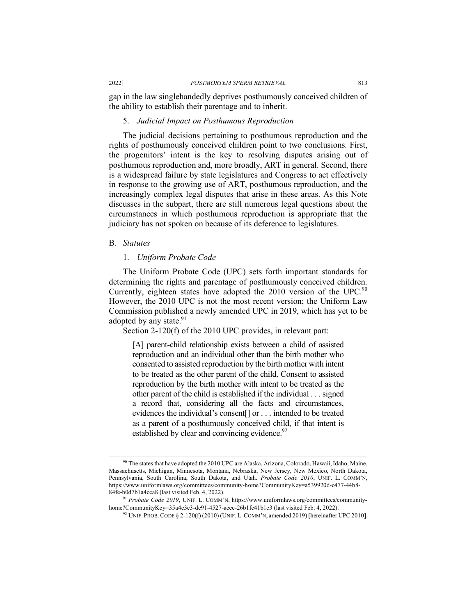gap in the law singlehandedly deprives posthumously conceived children of the ability to establish their parentage and to inherit.

## 5. *Judicial Impact on Posthumous Reproduction*

The judicial decisions pertaining to posthumous reproduction and the rights of posthumously conceived children point to two conclusions. First, the progenitors' intent is the key to resolving disputes arising out of posthumous reproduction and, more broadly, ART in general. Second, there is a widespread failure by state legislatures and Congress to act effectively in response to the growing use of ART, posthumous reproduction, and the increasingly complex legal disputes that arise in these areas. As this Note discusses in the subpart, there are still numerous legal questions about the circumstances in which posthumous reproduction is appropriate that the judiciary has not spoken on because of its deference to legislatures.

## B. *Statutes*

## 1. *Uniform Probate Code*

The Uniform Probate Code (UPC) sets forth important standards for determining the rights and parentage of posthumously conceived children. Currently, eighteen states have adopted the 2010 version of the UPC.<sup>90</sup> However, the 2010 UPC is not the most recent version; the Uniform Law Commission published a newly amended UPC in 2019, which has yet to be adopted by any state. $91$ 

Section 2-120(f) of the 2010 UPC provides, in relevant part:

[A] parent-child relationship exists between a child of assisted reproduction and an individual other than the birth mother who consented to assisted reproduction by the birth mother with intent to be treated as the other parent of the child. Consent to assisted reproduction by the birth mother with intent to be treated as the other parent of the child is established if the individual . . . signed a record that, considering all the facts and circumstances, evidences the individual's consented or . . . intended to be treated as a parent of a posthumously conceived child, if that intent is established by clear and convincing evidence.<sup>92</sup>

 <sup>90</sup> The states that have adopted the 2010 UPC are Alaska, Arizona, Colorado, Hawaii, Idaho, Maine, Massachusetts, Michigan, Minnesota, Montana, Nebraska, New Jersey, New Mexico, North Dakota, Pennsylvania, South Carolina, South Dakota, and Utah. *Probate Code 2010*, UNIF. L. COMM'N, https://www.uniformlaws.org/committees/community-home?CommunityKey=a539920d-c477-44b8- 84fe-b0d7b1a4cca8 (last visited Feb. 4, 2022).

<sup>91</sup> *Probate Code 2019*, UNIF. L. COMM'N, https://www.uniformlaws.org/committees/communityhome?CommunityKey=35a4e3e3-de91-4527-aeec-26b1fc41b1c3 (last visited Feb. 4, 2022).

 $92$  UNIF. PROB. CODE § 2-120(f) (2010) (UNIF. L. COMM'N, amended 2019) [hereinafter UPC 2010].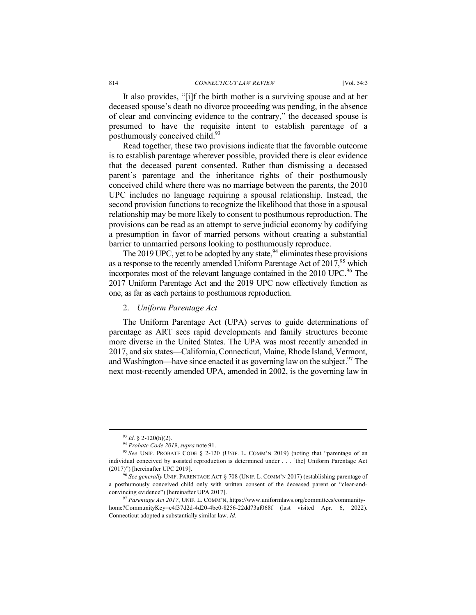It also provides, "[i]f the birth mother is a surviving spouse and at her deceased spouse's death no divorce proceeding was pending, in the absence of clear and convincing evidence to the contrary," the deceased spouse is presumed to have the requisite intent to establish parentage of a posthumously conceived child.<sup>93</sup>

Read together, these two provisions indicate that the favorable outcome is to establish parentage wherever possible, provided there is clear evidence that the deceased parent consented. Rather than dismissing a deceased parent's parentage and the inheritance rights of their posthumously conceived child where there was no marriage between the parents, the 2010 UPC includes no language requiring a spousal relationship. Instead, the second provision functions to recognize the likelihood that those in a spousal relationship may be more likely to consent to posthumous reproduction. The provisions can be read as an attempt to serve judicial economy by codifying a presumption in favor of married persons without creating a substantial barrier to unmarried persons looking to posthumously reproduce.

The 2019 UPC, yet to be adopted by any state,  $94$  eliminates these provisions as a response to the recently amended Uniform Parentage Act of  $2017$ <sup>95</sup>, which incorporates most of the relevant language contained in the 2010 UPC.<sup>96</sup> The 2017 Uniform Parentage Act and the 2019 UPC now effectively function as one, as far as each pertains to posthumous reproduction.

## 2. *Uniform Parentage Act*

The Uniform Parentage Act (UPA) serves to guide determinations of parentage as ART sees rapid developments and family structures become more diverse in the United States. The UPA was most recently amended in 2017, and six states—California, Connecticut, Maine, Rhode Island, Vermont, and Washington—have since enacted it as governing law on the subject.<sup>97</sup> The next most-recently amended UPA, amended in 2002, is the governing law in

<sup>93</sup> *Id.* § 2-120(h)(2). 94 *Probate Code 2019*, *supra* note 91.

<sup>95</sup> *See* UNIF. PROBATE CODE § 2-120 (UNIF. L. COMM'N 2019) (noting that "parentage of an individual conceived by assisted reproduction is determined under . . . [the] Uniform Parentage Act (2017)") [hereinafter UPC 2019]. 96 *See generally* UNIF. PARENTAGE ACT § 708 (UNIF. L. COMM'N 2017) (establishing parentage of

a posthumously conceived child only with written consent of the deceased parent or "clear-andconvincing evidence") [hereinafter UPA 2017].

<sup>97</sup> *Parentage Act 2017*, UNIF. L. COMM'N, https://www.uniformlaws.org/committees/communityhome?CommunityKey=c4f37d2d-4d20-4be0-8256-22dd73af068f (last visited Apr. 6, 2022). Connecticut adopted a substantially similar law. *Id.*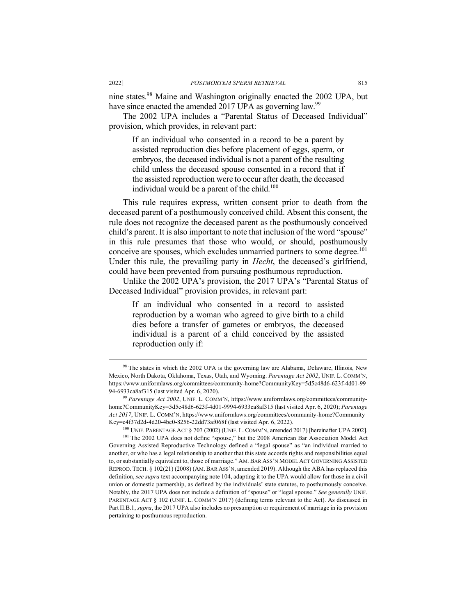nine states.98 Maine and Washington originally enacted the 2002 UPA, but have since enacted the amended 2017 UPA as governing law.<sup>99</sup>

The 2002 UPA includes a "Parental Status of Deceased Individual" provision, which provides, in relevant part:

If an individual who consented in a record to be a parent by assisted reproduction dies before placement of eggs, sperm, or embryos, the deceased individual is not a parent of the resulting child unless the deceased spouse consented in a record that if the assisted reproduction were to occur after death, the deceased individual would be a parent of the child.<sup>100</sup>

This rule requires express, written consent prior to death from the deceased parent of a posthumously conceived child. Absent this consent, the rule does not recognize the deceased parent as the posthumously conceived child's parent. It is also important to note that inclusion of the word "spouse" in this rule presumes that those who would, or should, posthumously conceive are spouses, which excludes unmarried partners to some degree.<sup>101</sup> Under this rule, the prevailing party in *Hecht*, the deceased's girlfriend, could have been prevented from pursuing posthumous reproduction.

Unlike the 2002 UPA's provision, the 2017 UPA's "Parental Status of Deceased Individual" provision provides, in relevant part:

If an individual who consented in a record to assisted reproduction by a woman who agreed to give birth to a child dies before a transfer of gametes or embryos, the deceased individual is a parent of a child conceived by the assisted reproduction only if:

<sup>98</sup> The states in which the 2002 UPA is the governing law are Alabama, Delaware, Illinois, New Mexico, North Dakota, Oklahoma, Texas, Utah, and Wyoming. *Parentage Act 2002*, UNIF. L. COMM'N, https://www.uniformlaws.org/committees/community-home?CommunityKey=5d5c48d6-623f-4d01-99 94-6933ca8af315 (last visited Apr. 6, 2020). 99 *Parentage Act 2002*, UNIF. L. COMM'N, https://www.uniformlaws.org/committees/community-

home?CommunityKey=5d5c48d6-623f-4d01-9994-6933ca8af315 (last visited Apr. 6, 2020); *Parentage Act 2017*, UNIF. L. COMM'N, https://www.uniformlaws.org/committees/community-home?Community Key=c4f37d2d-4d20-4be0-8256-22dd73af068f (last visited Apr. 6, 2022).

<sup>100</sup> UNIF. PARENTAGE ACT § 707 (2002) (UNIF. L. COMM'N, amended 2017) [hereinafter UPA 2002].

<sup>&</sup>lt;sup>101</sup> The 2002 UPA does not define "spouse," but the 2008 American Bar Association Model Act Governing Assisted Reproductive Technology defined a "legal spouse" as "an individual married to another, or who has a legal relationship to another that this state accords rights and responsibilities equal to, or substantially equivalent to, those of marriage." AM. BAR ASS'N MODEL ACT GOVERNING ASSISTED REPROD. TECH. § 102(21) (2008) (AM. BAR ASS'N, amended 2019). Although the ABA has replaced this definition, *see supra* text accompanying note 104, adapting it to the UPA would allow for those in a civil union or domestic partnership, as defined by the individuals' state statutes, to posthumously conceive. Notably, the 2017 UPA does not include a definition of "spouse" or "legal spouse." *See generally* UNIF. PARENTAGE ACT § 102 (UNIF. L. COMM'N 2017) (defining terms relevant to the Act). As discussed in Part II.B.1, *supra*, the 2017 UPA also includes no presumption or requirement of marriage in its provision pertaining to posthumous reproduction.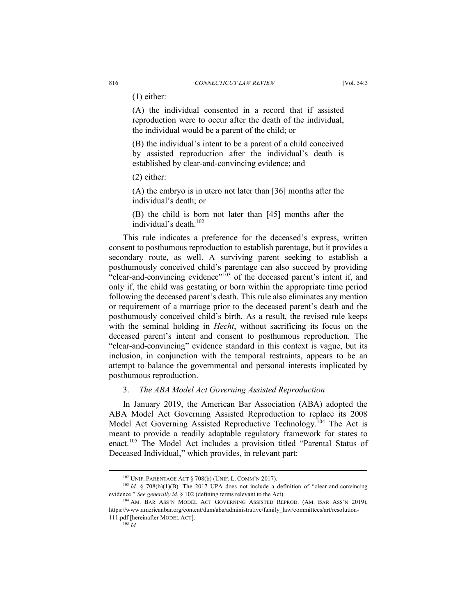(1) either:

(A) the individual consented in a record that if assisted reproduction were to occur after the death of the individual, the individual would be a parent of the child; or

(B) the individual's intent to be a parent of a child conceived by assisted reproduction after the individual's death is established by clear-and-convincing evidence; and

(2) either:

(A) the embryo is in utero not later than [36] months after the individual's death; or

(B) the child is born not later than [45] months after the individual's death $102$ 

This rule indicates a preference for the deceased's express, written consent to posthumous reproduction to establish parentage, but it provides a secondary route, as well. A surviving parent seeking to establish a posthumously conceived child's parentage can also succeed by providing "clear-and-convincing evidence"<sup>103</sup> of the deceased parent's intent if, and only if, the child was gestating or born within the appropriate time period following the deceased parent's death. This rule also eliminates any mention or requirement of a marriage prior to the deceased parent's death and the posthumously conceived child's birth. As a result, the revised rule keeps with the seminal holding in *Hecht*, without sacrificing its focus on the deceased parent's intent and consent to posthumous reproduction. The "clear-and-convincing" evidence standard in this context is vague, but its inclusion, in conjunction with the temporal restraints, appears to be an attempt to balance the governmental and personal interests implicated by posthumous reproduction.

## 3. *The ABA Model Act Governing Assisted Reproduction*

In January 2019, the American Bar Association (ABA) adopted the ABA Model Act Governing Assisted Reproduction to replace its 2008 Model Act Governing Assisted Reproductive Technology.<sup>104</sup> The Act is meant to provide a readily adaptable regulatory framework for states to enact.<sup>105</sup> The Model Act includes a provision titled "Parental Status of Deceased Individual," which provides, in relevant part:

<sup>&</sup>lt;sup>102</sup> UNIF. PARENTAGE ACT § 708(b) (UNIF. L. COMM'N 2017).<br><sup>103</sup> *Id.* § 708(b)(1)(B). The 2017 UPA does not include a definition of "clear-and-convincing evidence." *See generally id.* § 102 (defining terms relevant to the Act).

<sup>104</sup> AM. BAR ASS'N MODEL ACT GOVERNING ASSISTED REPROD. (AM. BAR ASS'N 2019), https://www.americanbar.org/content/dam/aba/administrative/family\_law/committees/art/resolution-111.pdf [hereinafter MODEL ACT].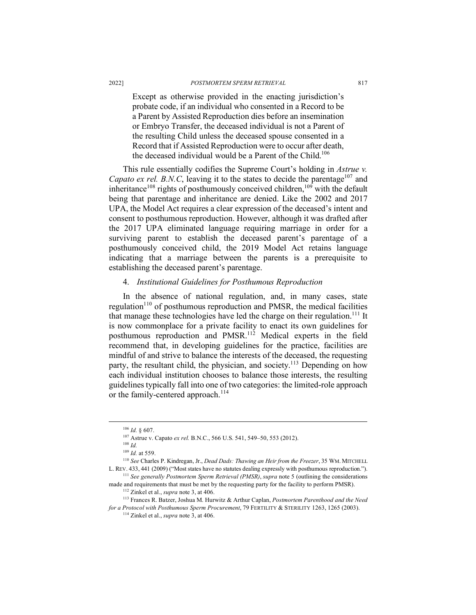Except as otherwise provided in the enacting jurisdiction's probate code, if an individual who consented in a Record to be a Parent by Assisted Reproduction dies before an insemination or Embryo Transfer, the deceased individual is not a Parent of the resulting Child unless the deceased spouse consented in a Record that if Assisted Reproduction were to occur after death, the deceased individual would be a Parent of the Child.<sup>106</sup>

This rule essentially codifies the Supreme Court's holding in *Astrue v. Capato ex rel. B.N.C*, leaving it to the states to decide the parentage<sup>107</sup> and inheritance<sup>108</sup> rights of posthumously conceived children.<sup>109</sup> with the default being that parentage and inheritance are denied. Like the 2002 and 2017 UPA, the Model Act requires a clear expression of the deceased's intent and consent to posthumous reproduction. However, although it was drafted after the 2017 UPA eliminated language requiring marriage in order for a surviving parent to establish the deceased parent's parentage of a posthumously conceived child, the 2019 Model Act retains language indicating that a marriage between the parents is a prerequisite to establishing the deceased parent's parentage.

## 4. *Institutional Guidelines for Posthumous Reproduction*

In the absence of national regulation, and, in many cases, state regulation<sup>110</sup> of posthumous reproduction and PMSR, the medical facilities that manage these technologies have led the charge on their regulation.<sup>111</sup> It is now commonplace for a private facility to enact its own guidelines for posthumous reproduction and PMSR.<sup>112</sup> Medical experts in the field recommend that, in developing guidelines for the practice, facilities are mindful of and strive to balance the interests of the deceased, the requesting party, the resultant child, the physician, and society.<sup>113</sup> Depending on how each individual institution chooses to balance those interests, the resulting guidelines typically fall into one of two categories: the limited-role approach or the family-centered approach.<sup>114</sup>

<sup>106</sup> *Id.* § 607. 107 Astrue v. Capato *ex rel.* B.N.C., 566 U.S. 541, 549–50, 553 (2012).

<sup>108</sup> *Id.*

<sup>109</sup> *Id.* at 559.

<sup>110</sup> *See* Charles P. Kindregan, Jr., *Dead Dads: Thawing an Heir from the Freezer*, 35 WM. MITCHELL L. REV. 433, 441 (2009) ("Most states have no statutes dealing expressly with posthumous reproduction."). 111 *See generally Postmortem Sperm Retrieval (PMSR)*, *supra* note 5 (outlining the considerations

made and requirements that must be met by the requesting party for the facility to perform PMSR).

<sup>112</sup> Zinkel et al., *supra* note 3, at 406.

<sup>113</sup> Frances R. Batzer, Joshua M. Hurwitz & Arthur Caplan, *Postmortem Parenthood and the Need for a Protocol with Posthumous Sperm Procurement*, 79 FERTILITY & STERILITY 1263, 1265 (2003).

<sup>114</sup> Zinkel et al., *supra* note 3, at 406.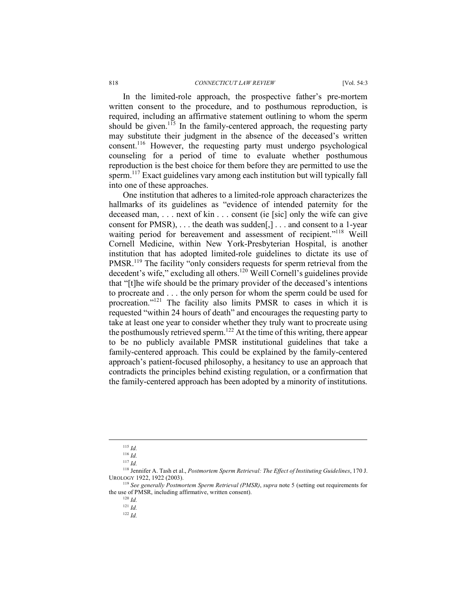In the limited-role approach, the prospective father's pre-mortem written consent to the procedure, and to posthumous reproduction, is required, including an affirmative statement outlining to whom the sperm should be given.<sup>115</sup> In the family-centered approach, the requesting party may substitute their judgment in the absence of the deceased's written consent.116 However, the requesting party must undergo psychological counseling for a period of time to evaluate whether posthumous reproduction is the best choice for them before they are permitted to use the sperm.<sup>117</sup> Exact guidelines vary among each institution but will typically fall into one of these approaches.

One institution that adheres to a limited-role approach characterizes the hallmarks of its guidelines as "evidence of intended paternity for the deceased man, . . . next of kin . . . consent (ie [sic] only the wife can give consent for PMSR),  $\ldots$  the death was sudden $[.\ ]$ ,  $\ldots$  and consent to a 1-year waiting period for bereavement and assessment of recipient."<sup>118</sup> Weill Cornell Medicine, within New York-Presbyterian Hospital, is another institution that has adopted limited-role guidelines to dictate its use of PMSR.<sup>119</sup> The facility "only considers requests for sperm retrieval from the decedent's wife," excluding all others.<sup>120</sup> Weill Cornell's guidelines provide that "[t]he wife should be the primary provider of the deceased's intentions to procreate and . . . the only person for whom the sperm could be used for procreation."<sup>121</sup> The facility also limits PMSR to cases in which it is requested "within 24 hours of death" and encourages the requesting party to take at least one year to consider whether they truly want to procreate using the posthumously retrieved sperm.<sup>122</sup> At the time of this writing, there appear to be no publicly available PMSR institutional guidelines that take a family-centered approach. This could be explained by the family-centered approach's patient-focused philosophy, a hesitancy to use an approach that contradicts the principles behind existing regulation, or a confirmation that the family-centered approach has been adopted by a minority of institutions.

 <sup>115</sup> *Id.*

<sup>116</sup> *Id.*

<sup>117</sup> *Id.*

<sup>118</sup> Jennifer A. Tash et al., *Postmortem Sperm Retrieval: The Effect of Instituting Guidelines*, 170 J.

<sup>&</sup>lt;sup>119</sup> See generally Postmortem Sperm Retrieval (PMSR), supra note 5 (setting out requirements for the use of PMSR, including affirmative, written consent).<br> $^{120}$  *Id.* 

<sup>121</sup> *Id.*

<sup>122</sup> *Id.*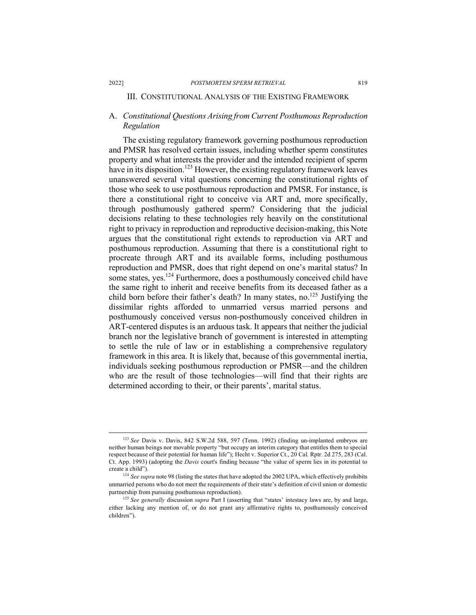## III. CONSTITUTIONAL ANALYSIS OF THE EXISTING FRAMEWORK

## A. *Constitutional Questions Arising from Current Posthumous Reproduction Regulation*

The existing regulatory framework governing posthumous reproduction and PMSR has resolved certain issues, including whether sperm constitutes property and what interests the provider and the intended recipient of sperm have in its disposition.<sup>123</sup> However, the existing regulatory framework leaves unanswered several vital questions concerning the constitutional rights of those who seek to use posthumous reproduction and PMSR. For instance, is there a constitutional right to conceive via ART and, more specifically, through posthumously gathered sperm? Considering that the judicial decisions relating to these technologies rely heavily on the constitutional right to privacy in reproduction and reproductive decision-making, this Note argues that the constitutional right extends to reproduction via ART and posthumous reproduction. Assuming that there is a constitutional right to procreate through ART and its available forms, including posthumous reproduction and PMSR, does that right depend on one's marital status? In some states, yes.<sup>124</sup> Furthermore, does a posthumously conceived child have the same right to inherit and receive benefits from its deceased father as a child born before their father's death? In many states, no.<sup>125</sup> Justifying the dissimilar rights afforded to unmarried versus married persons and posthumously conceived versus non-posthumously conceived children in ART-centered disputes is an arduous task. It appears that neither the judicial branch nor the legislative branch of government is interested in attempting to settle the rule of law or in establishing a comprehensive regulatory framework in this area. It is likely that, because of this governmental inertia, individuals seeking posthumous reproduction or PMSR—and the children who are the result of those technologies—will find that their rights are determined according to their, or their parents', marital status.

 <sup>123</sup> *See* Davis v. Davis, 842 S.W.2d 588, <sup>597</sup> (Tenn. 1992) (finding un-implanted embryos are neither human beings nor movable property "but occupy an interim category that entitles them to special respect because of their potential for human life"); Hecht v. Superior Ct., 20 Cal. Rptr. 2d 275, 283 (Cal. Ct. App. 1993) (adopting the *Davis* court's finding because "the value of sperm lies in its potential to create a child").

<sup>&</sup>lt;sup>124</sup> *See supra* note 98 (listing the states that have adopted the 2002 UPA, which effectively prohibits unmarried persons who do not meet the requirements of their state's definition of civil union or domestic partnership from pursuing posthumous reproduction).<br><sup>125</sup> *See generally* discussion *supra* Part I (asserting that "states' intestacy laws are, by and large,

either lacking any mention of, or do not grant any affirmative rights to, posthumously conceived children").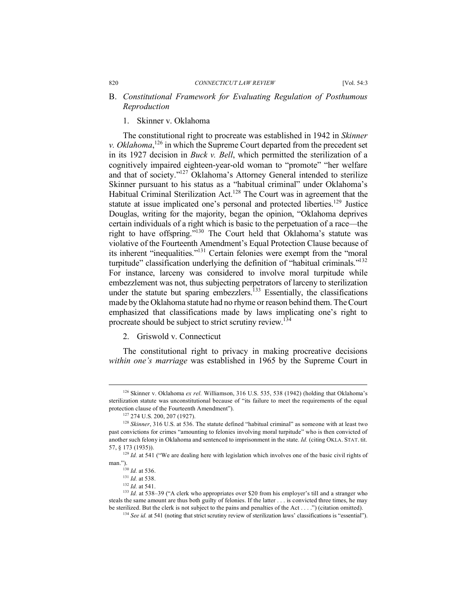- B. *Constitutional Framework for Evaluating Regulation of Posthumous Reproduction*
	- 1. Skinner v. Oklahoma

The constitutional right to procreate was established in 1942 in *Skinner v. Oklahoma*, <sup>126</sup> in which the Supreme Court departed from the precedent set in its 1927 decision in *Buck v. Bell*, which permitted the sterilization of a cognitively impaired eighteen-year-old woman to "promote" "her welfare and that of society."127 Oklahoma's Attorney General intended to sterilize Skinner pursuant to his status as a "habitual criminal" under Oklahoma's Habitual Criminal Sterilization Act.<sup>128</sup> The Court was in agreement that the statute at issue implicated one's personal and protected liberties.<sup>129</sup> Justice Douglas, writing for the majority, began the opinion, "Oklahoma deprives certain individuals of a right which is basic to the perpetuation of a race—the right to have offspring."130 The Court held that Oklahoma's statute was violative of the Fourteenth Amendment's Equal Protection Clause because of its inherent "inequalities."131 Certain felonies were exempt from the "moral turpitude" classification underlying the definition of "habitual criminals."132 For instance, larceny was considered to involve moral turpitude while embezzlement was not, thus subjecting perpetrators of larceny to sterilization under the statute but sparing embezzlers.<sup>133</sup> Essentially, the classifications made by the Oklahoma statute had no rhyme or reason behind them. The Court emphasized that classifications made by laws implicating one's right to procreate should be subject to strict scrutiny review.134

2. Griswold v. Connecticut

The constitutional right to privacy in making procreative decisions *within one's marriage* was established in 1965 by the Supreme Court in

 <sup>126</sup> Skinner v. Oklahoma *ex rel.* Williamson, 316 U.S. 535, 538 (1942) (holding that Oklahoma's sterilization statute was unconstitutional because of "its failure to meet the requirements of the equal protection clause of the Fourteenth Amendment").<br><sup>127</sup> 274 U.S. 200, 207 (1927).<br><sup>128</sup> *Skinner*, 316 U.S. at 536. The statute defined "habitual criminal" as someone with at least two

past convictions for crimes "amounting to felonies involving moral turpitude" who is then convicted of another such felony in Oklahoma and sentenced to imprisonment in the state. *Id.* (citing OKLA. STAT. tit. 57, § 173 (1935)).

 $129$  *Id.* at 541 ("We are dealing here with legislation which involves one of the basic civil rights of man.").

 $\frac{130}{131}$  *Id.* at 536.

<sup>&</sup>lt;sup>132</sup> *Id.* at 541.<br><sup>133</sup> *Id.* at 538–39 ("A clerk who appropriates over \$20 from his employer's till and a stranger who steals the same amount are thus both guilty of felonies. If the latter ... is convicted three times, he may be sterilized. But the clerk is not subject to the pains and penalties of the Act ....") (citation omitted).

<sup>&</sup>lt;sup>134</sup> See id. at 541 (noting that strict scrutiny review of sterilization laws' classifications is "essential").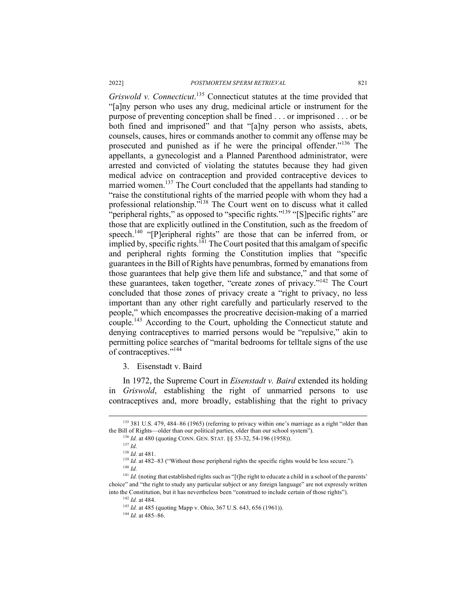*Griswold v. Connecticut*. <sup>135</sup> Connecticut statutes at the time provided that "[a]ny person who uses any drug, medicinal article or instrument for the purpose of preventing conception shall be fined . . . or imprisoned . . . or be both fined and imprisoned" and that "[a]ny person who assists, abets, counsels, causes, hires or commands another to commit any offense may be prosecuted and punished as if he were the principal offender."<sup>136</sup> The appellants, a gynecologist and a Planned Parenthood administrator, were arrested and convicted of violating the statutes because they had given medical advice on contraception and provided contraceptive devices to married women.<sup>137</sup> The Court concluded that the appellants had standing to "raise the constitutional rights of the married people with whom they had a professional relationship."138 The Court went on to discuss what it called "peripheral rights," as opposed to "specific rights."<sup>139</sup> "[S]pecific rights" are those that are explicitly outlined in the Constitution, such as the freedom of speech.<sup>140</sup> "[P]eripheral rights" are those that can be inferred from, or implied by, specific rights.<sup>141</sup> The Court posited that this amalgam of specific and peripheral rights forming the Constitution implies that "specific guarantees in the Bill of Rights have penumbras, formed by emanations from those guarantees that help give them life and substance," and that some of these guarantees, taken together, "create zones of privacy."142 The Court concluded that those zones of privacy create a "right to privacy, no less important than any other right carefully and particularly reserved to the people," which encompasses the procreative decision-making of a married couple.<sup>143</sup> According to the Court, upholding the Connecticut statute and denying contraceptives to married persons would be "repulsive," akin to permitting police searches of "marital bedrooms for telltale signs of the use of contraceptives."144

3. Eisenstadt v. Baird

In 1972, the Supreme Court in *Eisenstadt v. Baird* extended its holding in *Griswold*, establishing the right of unmarried persons to use contraceptives and, more broadly, establishing that the right to privacy

 <sup>135</sup> 381 U.S. 479, 484–86 (1965) (referring to privacy within one's marriage as a right "older than the Bill of Rights—older than our political parties, older than our school system"). 136 *Id.* at 480 (quoting CONN. GEN. STAT. §§ 53-32, 54-196 (1958)).

 $^{137}$  *Id.*<br> $^{138}$  *Id.* at 481.

<sup>&</sup>lt;sup>139</sup> *Id.* at 482–83 ("Without those peripheral rights the specific rights would be less secure."). <sup>140</sup> *Id.*

<sup>&</sup>lt;sup>141</sup> *Id.* (noting that established rights such as "[t]he right to educate a child in a school of the parents' choice" and "the right to study any particular subject or any foreign language" are not expressly written into the Constitution, but it has nevertheless been "construed to include certain of those rights").<br> $^{142}$  *Id.* at 484.

<sup>&</sup>lt;sup>143</sup> *Id.* at 485 (quoting Mapp v. Ohio, 367 U.S. 643, 656 (1961)). <sup>144</sup> *Id.* at 485–86.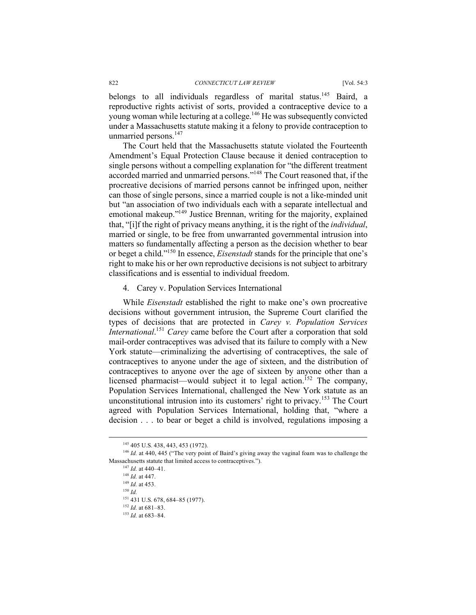belongs to all individuals regardless of marital status.<sup>145</sup> Baird, a reproductive rights activist of sorts, provided a contraceptive device to a young woman while lecturing at a college.<sup>146</sup> He was subsequently convicted under a Massachusetts statute making it a felony to provide contraception to unmarried persons.<sup>147</sup>

The Court held that the Massachusetts statute violated the Fourteenth Amendment's Equal Protection Clause because it denied contraception to single persons without a compelling explanation for "the different treatment accorded married and unmarried persons."148 The Court reasoned that, if the procreative decisions of married persons cannot be infringed upon, neither can those of single persons, since a married couple is not a like-minded unit but "an association of two individuals each with a separate intellectual and emotional makeup."149 Justice Brennan, writing for the majority, explained that, "[i]f the right of privacy means anything, it is the right of the *individual*, married or single, to be free from unwarranted governmental intrusion into matters so fundamentally affecting a person as the decision whether to bear or beget a child."150 In essence, *Eisenstadt* stands for the principle that one's right to make his or her own reproductive decisions is not subject to arbitrary classifications and is essential to individual freedom.

4. Carey v. Population Services International

While *Eisenstadt* established the right to make one's own procreative decisions without government intrusion, the Supreme Court clarified the types of decisions that are protected in *Carey v. Population Services International*. <sup>151</sup> *Carey* came before the Court after a corporation that sold mail-order contraceptives was advised that its failure to comply with a New York statute—criminalizing the advertising of contraceptives, the sale of contraceptives to anyone under the age of sixteen, and the distribution of contraceptives to anyone over the age of sixteen by anyone other than a licensed pharmacist—would subject it to legal action.<sup>152</sup> The company, Population Services International, challenged the New York statute as an unconstitutional intrusion into its customers' right to privacy.<sup>153</sup> The Court agreed with Population Services International, holding that, "where a decision . . . to bear or beget a child is involved, regulations imposing a

<sup>&</sup>lt;sup>145</sup> 405 U.S. 438, 443, 453 (1972).<br><sup>146</sup> *Id.* at 440, 445 ("The very point of Baird's giving away the vaginal foam was to challenge the Massachusetts statute that limited access to contraceptives.").

<sup>147</sup> *Id.* at 440–41.

<sup>148</sup> *Id.* at 447.

<sup>149</sup> *Id.* at 453. 150 *Id.*

<sup>151</sup> 431 U.S. 678, 684–85 (1977).

<sup>152</sup> *Id.* at 681–83.

<sup>153</sup> *Id.* at 683–84.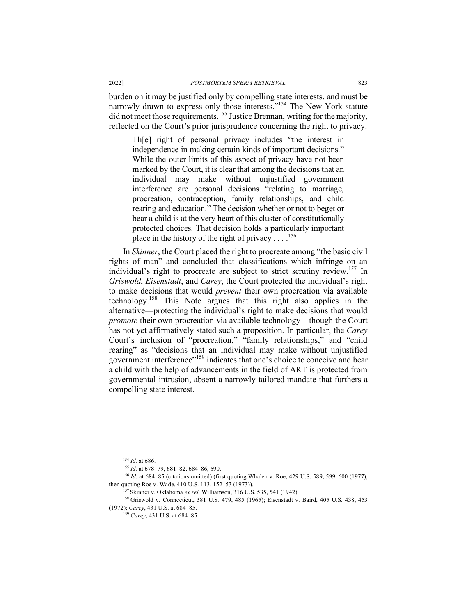burden on it may be justified only by compelling state interests, and must be narrowly drawn to express only those interests."<sup>154</sup> The New York statute did not meet those requirements.<sup>155</sup> Justice Brennan, writing for the majority, reflected on the Court's prior jurisprudence concerning the right to privacy:

Th[e] right of personal privacy includes "the interest in independence in making certain kinds of important decisions." While the outer limits of this aspect of privacy have not been marked by the Court, it is clear that among the decisions that an individual may make without unjustified government interference are personal decisions "relating to marriage, procreation, contraception, family relationships, and child rearing and education." The decision whether or not to beget or bear a child is at the very heart of this cluster of constitutionally protected choices. That decision holds a particularly important place in the history of the right of privacy  $\dots$ .<sup>156</sup>

In *Skinner*, the Court placed the right to procreate among "the basic civil rights of man" and concluded that classifications which infringe on an individual's right to procreate are subject to strict scrutiny review.<sup>157</sup> In *Griswold*, *Eisenstadt*, and *Carey*, the Court protected the individual's right to make decisions that would *prevent* their own procreation via available technology.158 This Note argues that this right also applies in the alternative—protecting the individual's right to make decisions that would *promote* their own procreation via available technology—though the Court has not yet affirmatively stated such a proposition. In particular, the *Carey* Court's inclusion of "procreation," "family relationships," and "child rearing" as "decisions that an individual may make without unjustified government interference"<sup>159</sup> indicates that one's choice to conceive and bear a child with the help of advancements in the field of ART is protected from governmental intrusion, absent a narrowly tailored mandate that furthers a compelling state interest.

<sup>&</sup>lt;sup>154</sup> *Id.* at 686.<br><sup>155</sup> *Id.* at 678–79, 681–82, 684–86, 690.

<sup>&</sup>lt;sup>156</sup> *Id.* at 684–85 (citations omitted) (first quoting Whalen v. Roe, 429 U.S. 589, 599–600 (1977); then quoting Roe v. Wade, 410 U.S. 113, 152–53 (1973)).

<sup>157</sup> Skinner v. Oklahoma *ex rel.* Williamson, 316 U.S. 535, 541 (1942).

<sup>158</sup> Griswold v. Connecticut, 381 U.S. 479, 485 (1965); Eisenstadt v. Baird, 405 U.S. 438, 453 (1972); *Carey*, 431 U.S. at 684–85.

<sup>159</sup> *Carey*, 431 U.S. at 684–85.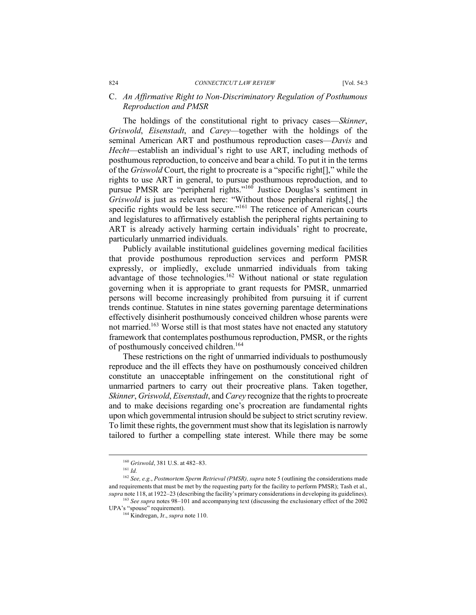824 *CONNECTICUT LAW REVIEW* [Vol. 54:3

## C. *An Affirmative Right to Non-Discriminatory Regulation of Posthumous Reproduction and PMSR*

The holdings of the constitutional right to privacy cases—*Skinner*, *Griswold*, *Eisenstadt*, and *Carey*—together with the holdings of the seminal American ART and posthumous reproduction cases—*Davis* and *Hecht*—establish an individual's right to use ART, including methods of posthumous reproduction, to conceive and bear a child. To put it in the terms of the *Griswold* Court, the right to procreate is a "specific right[]," while the rights to use ART in general, to pursue posthumous reproduction, and to pursue PMSR are "peripheral rights."<sup>160</sup> Justice Douglas's sentiment in *Griswold* is just as relevant here: "Without those peripheral rights[,] the specific rights would be less secure."<sup>161</sup> The reticence of American courts and legislatures to affirmatively establish the peripheral rights pertaining to ART is already actively harming certain individuals' right to procreate, particularly unmarried individuals.

Publicly available institutional guidelines governing medical facilities that provide posthumous reproduction services and perform PMSR expressly, or impliedly, exclude unmarried individuals from taking advantage of those technologies.<sup>162</sup> Without national or state regulation governing when it is appropriate to grant requests for PMSR, unmarried persons will become increasingly prohibited from pursuing it if current trends continue. Statutes in nine states governing parentage determinations effectively disinherit posthumously conceived children whose parents were not married.163 Worse still is that most states have not enacted any statutory framework that contemplates posthumous reproduction, PMSR, or the rights of posthumously conceived children.<sup>164</sup>

These restrictions on the right of unmarried individuals to posthumously reproduce and the ill effects they have on posthumously conceived children constitute an unacceptable infringement on the constitutional right of unmarried partners to carry out their procreative plans. Taken together, *Skinner*, *Griswold*, *Eisenstadt*, and *Carey* recognize that the rights to procreate and to make decisions regarding one's procreation are fundamental rights upon which governmental intrusion should be subject to strict scrutiny review. To limit these rights, the government must show that its legislation is narrowly tailored to further a compelling state interest. While there may be some

<sup>160</sup> *Griswold*, 381 U.S. at 482–83. 161 *Id.*

<sup>162</sup> *See, e.g.*, *Postmortem Sperm Retrieval (PMSR), supra* note 5 (outlining the considerations made and requirements that must be met by the requesting party for the facility to perform PMSR); Tash et al., *supra* note 118, at 1922–23 (describing the facility's primary considerations in developing its guidelines). 163 *See supra* notes 98–101 and accompanying text (discussing the exclusionary effect of the 2002

UPA's "spouse" requirement). 164 Kindregan, Jr., *supra* note 110.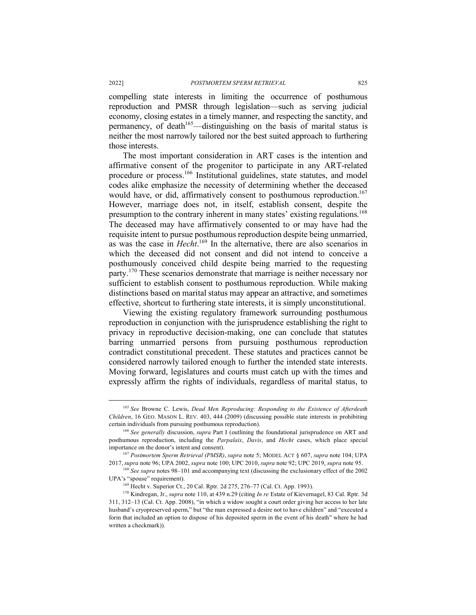compelling state interests in limiting the occurrence of posthumous reproduction and PMSR through legislation—such as serving judicial economy, closing estates in a timely manner, and respecting the sanctity, and permanency, of death<sup>165</sup>—distinguishing on the basis of marital status is neither the most narrowly tailored nor the best suited approach to furthering those interests.

The most important consideration in ART cases is the intention and affirmative consent of the progenitor to participate in any ART-related procedure or process.<sup>166</sup> Institutional guidelines, state statutes, and model codes alike emphasize the necessity of determining whether the deceased would have, or did, affirmatively consent to posthumous reproduction.<sup>167</sup> However, marriage does not, in itself, establish consent, despite the presumption to the contrary inherent in many states' existing regulations.<sup>168</sup> The deceased may have affirmatively consented to or may have had the requisite intent to pursue posthumous reproduction despite being unmarried, as was the case in *Hecht*. <sup>169</sup> In the alternative, there are also scenarios in which the deceased did not consent and did not intend to conceive a posthumously conceived child despite being married to the requesting party.<sup>170</sup> These scenarios demonstrate that marriage is neither necessary nor sufficient to establish consent to posthumous reproduction. While making distinctions based on marital status may appear an attractive, and sometimes effective, shortcut to furthering state interests, it is simply unconstitutional.

Viewing the existing regulatory framework surrounding posthumous reproduction in conjunction with the jurisprudence establishing the right to privacy in reproductive decision-making, one can conclude that statutes barring unmarried persons from pursuing posthumous reproduction contradict constitutional precedent. These statutes and practices cannot be considered narrowly tailored enough to further the intended state interests. Moving forward, legislatures and courts must catch up with the times and expressly affirm the rights of individuals, regardless of marital status, to

 <sup>165</sup> *See* Browne C. Lewis, *Dead Men Reproducing: Responding to the Existence of Afterdeath Children*, 16 GEO. MASON L. REV. 403, 444 (2009) (discussing possible state interests in prohibiting certain individuals from pursuing posthumous reproduction). 166 *See generally* discussion, *supra* Part I (outlining the foundational jurisprudence on ART and

posthumous reproduction, including the *Parpalaix*, *Davis*, and *Hecht* cases, which place special importance on the donor's intent and consent).

<sup>167</sup> *Postmortem Sperm Retrieval (PMSR)*, *supra* note 5; MODEL ACT § 607, *supra* note 104; UPA 2017, *supra* note 96; UPA 2002, *supra* note 100; UPC 2010, *supra* note 92; UPC 2019, *supra* note 95.

<sup>&</sup>lt;sup>168</sup> See supra notes 98–101 and accompanying text (discussing the exclusionary effect of the 2002 UPA's "spouse" requirement).

<sup>169</sup> Hecht v. Superior Ct., 20 Cal. Rptr. 2d 275, 276–77 (Cal. Ct. App. 1993).

<sup>170</sup> Kindregan, Jr., *supra* note 110, at 439 n.29 (citing *In re* Estate of Kievernagel, 83 Cal. Rptr. 3d 311, 312–13 (Cal. Ct. App. 2008), "in which a widow sought a court order giving her access to her late husband's cryopreserved sperm," but "the man expressed a desire not to have children" and "executed a form that included an option to dispose of his deposited sperm in the event of his death" where he had written a checkmark)).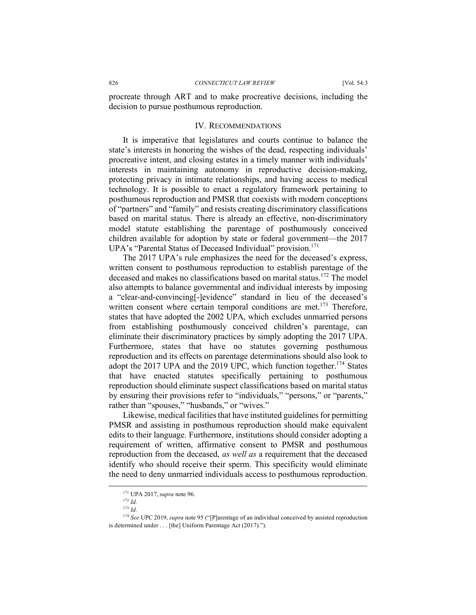procreate through ART and to make procreative decisions, including the decision to pursue posthumous reproduction.

## IV. RECOMMENDATIONS

It is imperative that legislatures and courts continue to balance the state's interests in honoring the wishes of the dead, respecting individuals' procreative intent, and closing estates in a timely manner with individuals' interests in maintaining autonomy in reproductive decision-making, protecting privacy in intimate relationships, and having access to medical technology. It is possible to enact a regulatory framework pertaining to posthumous reproduction and PMSR that coexists with modern conceptions of "partners" and "family" and resists creating discriminatory classifications based on marital status. There is already an effective, non-discriminatory model statute establishing the parentage of posthumously conceived children available for adoption by state or federal government—the 2017 UPA's "Parental Status of Deceased Individual" provision.<sup>171</sup>

The 2017 UPA's rule emphasizes the need for the deceased's express, written consent to posthumous reproduction to establish parentage of the deceased and makes no classifications based on marital status.<sup>172</sup> The model also attempts to balance governmental and individual interests by imposing a "clear-and-convincing[-]evidence" standard in lieu of the deceased's written consent where certain temporal conditions are met.<sup>173</sup> Therefore, states that have adopted the 2002 UPA, which excludes unmarried persons from establishing posthumously conceived children's parentage, can eliminate their discriminatory practices by simply adopting the 2017 UPA. Furthermore, states that have no statutes governing posthumous reproduction and its effects on parentage determinations should also look to adopt the 2017 UPA and the  $2019$  UPC, which function together.<sup>174</sup> States that have enacted statutes specifically pertaining to posthumous reproduction should eliminate suspect classifications based on marital status by ensuring their provisions refer to "individuals," "persons," or "parents," rather than "spouses," "husbands," or "wives."

Likewise, medical facilities that have instituted guidelines for permitting PMSR and assisting in posthumous reproduction should make equivalent edits to their language. Furthermore, institutions should consider adopting a requirement of written, affirmative consent to PMSR and posthumous reproduction from the deceased, *as well as* a requirement that the deceased identify who should receive their sperm. This specificity would eliminate the need to deny unmarried individuals access to posthumous reproduction.

 <sup>171</sup> UPA 2017, *supra* note 96.

<sup>172</sup> *Id.*

<sup>173</sup> *Id.*

<sup>174</sup> *See* UPC 2019, *supra* note 95 ("[P]arentage of an individual conceived by assisted reproduction is determined under . . . [the] Uniform Parentage Act (2017).").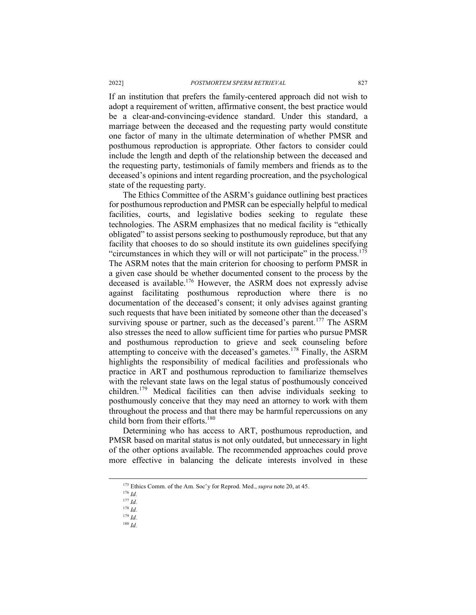If an institution that prefers the family-centered approach did not wish to adopt a requirement of written, affirmative consent, the best practice would be a clear-and-convincing-evidence standard. Under this standard, a marriage between the deceased and the requesting party would constitute one factor of many in the ultimate determination of whether PMSR and posthumous reproduction is appropriate. Other factors to consider could include the length and depth of the relationship between the deceased and the requesting party, testimonials of family members and friends as to the deceased's opinions and intent regarding procreation, and the psychological state of the requesting party.

The Ethics Committee of the ASRM's guidance outlining best practices for posthumous reproduction and PMSR can be especially helpful to medical facilities, courts, and legislative bodies seeking to regulate these technologies. The ASRM emphasizes that no medical facility is "ethically obligated" to assist persons seeking to posthumously reproduce, but that any facility that chooses to do so should institute its own guidelines specifying "circumstances in which they will or will not participate" in the process.<sup>175</sup> The ASRM notes that the main criterion for choosing to perform PMSR in a given case should be whether documented consent to the process by the deceased is available.176 However, the ASRM does not expressly advise against facilitating posthumous reproduction where there is no documentation of the deceased's consent; it only advises against granting such requests that have been initiated by someone other than the deceased's surviving spouse or partner, such as the deceased's parent.<sup>177</sup> The ASRM also stresses the need to allow sufficient time for parties who pursue PMSR and posthumous reproduction to grieve and seek counseling before attempting to conceive with the deceased's gametes.<sup>178</sup> Finally, the ASRM highlights the responsibility of medical facilities and professionals who practice in ART and posthumous reproduction to familiarize themselves with the relevant state laws on the legal status of posthumously conceived children.<sup>179</sup> Medical facilities can then advise individuals seeking to posthumously conceive that they may need an attorney to work with them throughout the process and that there may be harmful repercussions on any child born from their efforts.<sup>180</sup>

Determining who has access to ART, posthumous reproduction, and PMSR based on marital status is not only outdated, but unnecessary in light of the other options available. The recommended approaches could prove more effective in balancing the delicate interests involved in these

<sup>175</sup> Ethics Comm. of the Am. Soc'y for Reprod. Med., *supra* note 20, at 45. 176 *Id.*

<sup>177</sup> *Id.*

<sup>178</sup> *Id.*

<sup>179</sup> *Id.*

<sup>180</sup> *Id.*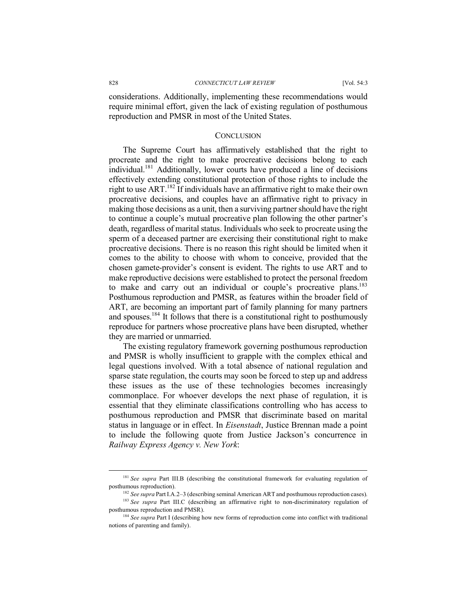considerations. Additionally, implementing these recommendations would require minimal effort, given the lack of existing regulation of posthumous reproduction and PMSR in most of the United States.

### **CONCLUSION**

The Supreme Court has affirmatively established that the right to procreate and the right to make procreative decisions belong to each individual.181 Additionally, lower courts have produced a line of decisions effectively extending constitutional protection of those rights to include the right to use ART.182 If individuals have an affirmative right to make their own procreative decisions, and couples have an affirmative right to privacy in making those decisions as a unit, then a surviving partner should have the right to continue a couple's mutual procreative plan following the other partner's death, regardless of marital status. Individuals who seek to procreate using the sperm of a deceased partner are exercising their constitutional right to make procreative decisions. There is no reason this right should be limited when it comes to the ability to choose with whom to conceive, provided that the chosen gamete-provider's consent is evident. The rights to use ART and to make reproductive decisions were established to protect the personal freedom to make and carry out an individual or couple's procreative plans.<sup>183</sup> Posthumous reproduction and PMSR, as features within the broader field of ART, are becoming an important part of family planning for many partners and spouses.<sup>184</sup> It follows that there is a constitutional right to posthumously reproduce for partners whose procreative plans have been disrupted, whether they are married or unmarried.

The existing regulatory framework governing posthumous reproduction and PMSR is wholly insufficient to grapple with the complex ethical and legal questions involved. With a total absence of national regulation and sparse state regulation, the courts may soon be forced to step up and address these issues as the use of these technologies becomes increasingly commonplace. For whoever develops the next phase of regulation, it is essential that they eliminate classifications controlling who has access to posthumous reproduction and PMSR that discriminate based on marital status in language or in effect. In *Eisenstadt*, Justice Brennan made a point to include the following quote from Justice Jackson's concurrence in *Railway Express Agency v. New York*:

 <sup>181</sup> *See supra* Part III.B (describing the constitutional framework for evaluating regulation of posthumous reproduction).

<sup>&</sup>lt;sup>182</sup> *See supra* Part I.A.2–3 (describing seminal American ART and posthumous reproduction cases).

<sup>&</sup>lt;sup>183</sup> See supra Part III.C (describing an affirmative right to non-discriminatory regulation of posthumous reproduction and PMSR). 184 *See supra* Part I (describing how new forms of reproduction come into conflict with traditional

notions of parenting and family).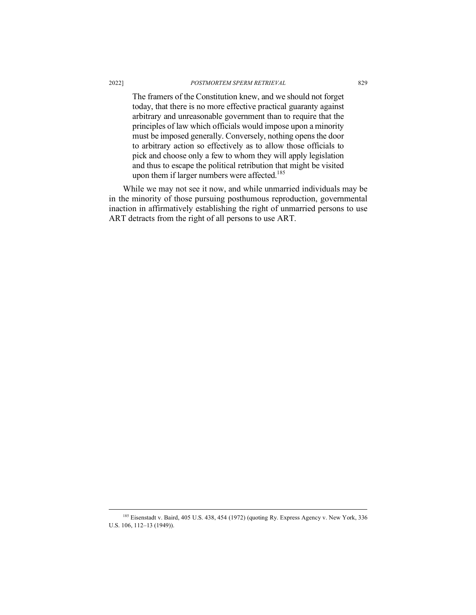The framers of the Constitution knew, and we should not forget today, that there is no more effective practical guaranty against arbitrary and unreasonable government than to require that the principles of law which officials would impose upon a minority must be imposed generally. Conversely, nothing opens the door to arbitrary action so effectively as to allow those officials to pick and choose only a few to whom they will apply legislation and thus to escape the political retribution that might be visited upon them if larger numbers were affected.<sup>185</sup>

While we may not see it now, and while unmarried individuals may be in the minority of those pursuing posthumous reproduction, governmental inaction in affirmatively establishing the right of unmarried persons to use ART detracts from the right of all persons to use ART.

<sup>&</sup>lt;sup>185</sup> Eisenstadt v. Baird, 405 U.S. 438, 454 (1972) (quoting Ry. Express Agency v. New York, 336 U.S. 106, 112–13 (1949)).